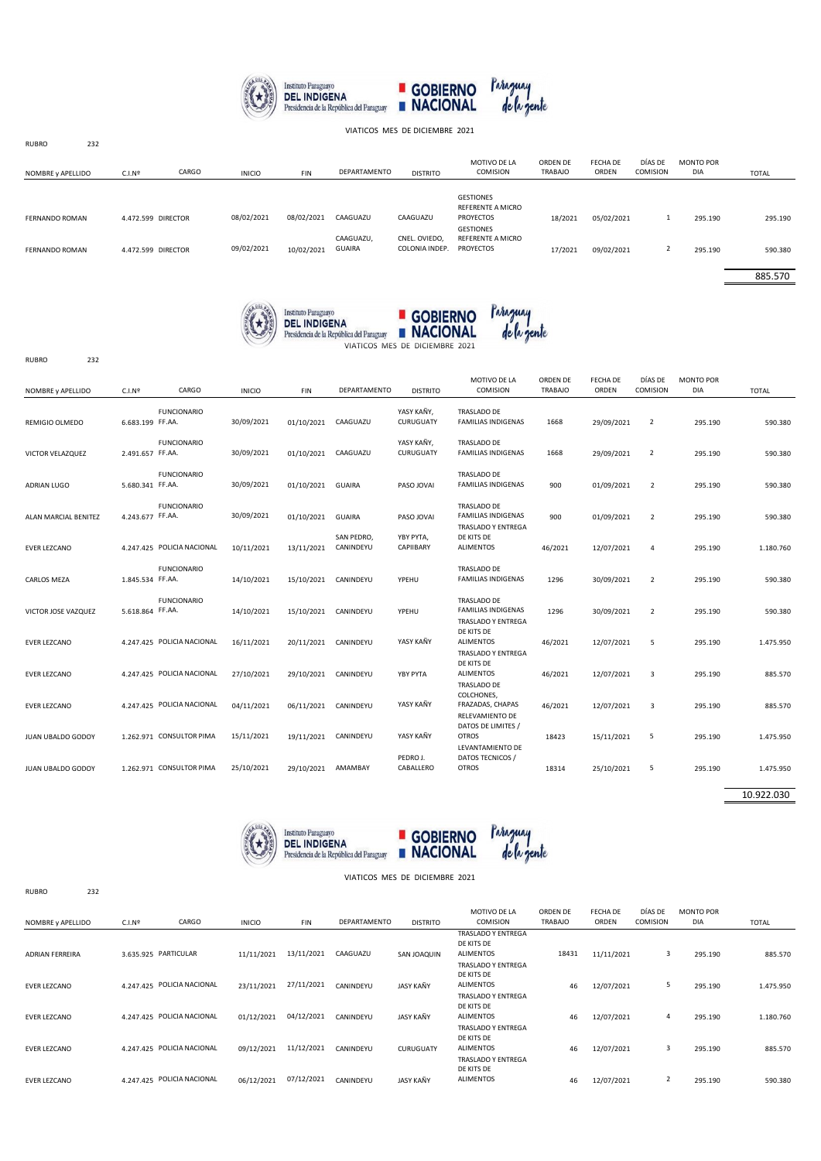

VIATICOS MES DE DICIEMBRE 2021

| NOMBRE y APELLIDO | C.I.N <sup>2</sup> | CARGO              | <b>INICIO</b> | <b>FIN</b> | DEPARTAMENTO               | <b>DISTRITO</b>                 | MOTIVO DE LA<br>COMISION                           | ORDEN DE<br><b>TRABAJO</b> | FECHA DE<br><b>ORDEN</b> | DÍAS DE<br>COMISION | <b>MONTO POR</b><br><b>DIA</b> | <b>TOTAL</b> |
|-------------------|--------------------|--------------------|---------------|------------|----------------------------|---------------------------------|----------------------------------------------------|----------------------------|--------------------------|---------------------|--------------------------------|--------------|
| FERNANDO ROMAN    |                    | 4.472.599 DIRECTOR | 08/02/2021    | 08/02/2021 | CAAGUAZU                   | CAAGUAZU                        | <b>GESTIONES</b><br>REFERENTE A MICRO<br>PROYECTOS | 18/2021                    | 05/02/2021               | л.                  | 295.190                        | 295.190      |
| FERNANDO ROMAN    |                    | 4.472.599 DIRECTOR | 09/02/2021    | 10/02/2021 | CAAGUAZU,<br><b>GUAIRA</b> | CNEL. OVIEDO.<br>COLONIA INDEP. | <b>GESTIONES</b><br>REFERENTE A MICRO<br>PROYECTOS | 17/2021                    | 09/02/2021               | $\mathcal{L}$       | 295.190                        | 590.380      |

885.570





RUBRO 232

RUBRO 232

RUBRO 232

| NOMBRE y APELLIDO        | C.I.N <sup>2</sup> | CARGO                      | <b>INICIO</b> | FIN        | DEPARTAMENTO            | <b>DISTRITO</b>         | MOTIVO DE LA<br>COMISION                                              | ORDEN DE<br><b>TRABAJO</b> | <b>FECHA DE</b><br>ORDEN | DÍAS DE<br>COMISION | MONTO POR<br>DIA | <b>TOTAL</b> |
|--------------------------|--------------------|----------------------------|---------------|------------|-------------------------|-------------------------|-----------------------------------------------------------------------|----------------------------|--------------------------|---------------------|------------------|--------------|
| REMIGIO OLMEDO           | 6.683.199 FF.AA.   | <b>FUNCIONARIO</b>         | 30/09/2021    | 01/10/2021 | CAAGUAZU                | YASY KAÑY,<br>CURUGUATY | TRASLADO DE<br><b>FAMILIAS INDIGENAS</b>                              | 1668                       | 29/09/2021               | $\overline{2}$      | 295.190          | 590.380      |
| VICTOR VELAZQUEZ         | 2.491.657 FF.AA.   | <b>FUNCIONARIO</b>         | 30/09/2021    | 01/10/2021 | CAAGUAZU                | YASY KAÑY,<br>CURUGUATY | TRASLADO DE<br><b>FAMILIAS INDIGENAS</b>                              | 1668                       | 29/09/2021               | $\overline{2}$      | 295.190          | 590.380      |
| <b>ADRIAN LUGO</b>       | 5.680.341 FF.AA.   | <b>FUNCIONARIO</b>         | 30/09/2021    | 01/10/2021 | <b>GUAIRA</b>           | PASO JOVAI              | TRASLADO DE<br><b>FAMILIAS INDIGENAS</b>                              | 900                        | 01/09/2021               | $\overline{2}$      | 295.190          | 590.380      |
| ALAN MARCIAL BENITEZ     | 4.243.677 FF.AA.   | <b>FUNCIONARIO</b>         | 30/09/2021    | 01/10/2021 | <b>GUAIRA</b>           | PASO JOVAI              | TRASLADO DE<br><b>FAMILIAS INDIGENAS</b><br><b>TRASLADO Y ENTREGA</b> | 900                        | 01/09/2021               | $\overline{2}$      | 295.190          | 590.380      |
| <b>EVER LEZCANO</b>      |                    | 4.247.425 POLICIA NACIONAL | 10/11/2021    | 13/11/2021 | SAN PEDRO.<br>CANINDEYU | YBY PYTA,<br>CAPIIBARY  | DE KITS DE<br><b>ALIMENTOS</b>                                        | 46/2021                    | 12/07/2021               | 4                   | 295.190          | 1.180.760    |
| CARLOS MEZA              | 1.845.534 FF.AA.   | <b>FUNCIONARIO</b>         | 14/10/2021    | 15/10/2021 | CANINDEYU               | YPEHU                   | <b>TRASLADO DE</b><br><b>FAMILIAS INDIGENAS</b>                       | 1296                       | 30/09/2021               | $\overline{2}$      | 295.190          | 590.380      |
| VICTOR JOSE VAZQUEZ      | 5.618.864 FF.AA.   | <b>FUNCIONARIO</b>         | 14/10/2021    | 15/10/2021 | CANINDEYU               | YPEHU                   | TRASLADO DE<br><b>FAMILIAS INDIGENAS</b><br>TRASLADO Y ENTREGA        | 1296                       | 30/09/2021               | $\overline{2}$      | 295.190          | 590.380      |
| <b>EVER LEZCANO</b>      |                    | 4.247.425 POLICIA NACIONAL | 16/11/2021    | 20/11/2021 | CANINDEYU               | YASY KAÑY               | DE KITS DE<br><b>ALIMENTOS</b><br>TRASLADO Y ENTREGA                  | 46/2021                    | 12/07/2021               | 5                   | 295.190          | 1.475.950    |
| <b>EVER LEZCANO</b>      |                    | 4.247.425 POLICIA NACIONAL | 27/10/2021    | 29/10/2021 | CANINDEYU               | YBY PYTA                | DE KITS DE<br><b>ALIMENTOS</b><br>TRASLADO DE                         | 46/2021                    | 12/07/2021               | 3                   | 295.190          | 885.570      |
| <b>EVER LEZCANO</b>      |                    | 4.247.425 POLICIA NACIONAL | 04/11/2021    | 06/11/2021 | CANINDEYU               | YASY KAÑY               | COLCHONES,<br>FRAZADAS, CHAPAS<br>RELEVAMIENTO DE                     | 46/2021                    | 12/07/2021               | 3                   | 295.190          | 885.570      |
| <b>JUAN UBALDO GODOY</b> |                    | 1.262.971 CONSULTOR PIMA   | 15/11/2021    | 19/11/2021 | CANINDEYU               | YASY KAÑY               | DATOS DE LIMITES /<br><b>OTROS</b><br>LEVANTAMIENTO DE                | 18423                      | 15/11/2021               | 5                   | 295.190          | 1.475.950    |
| <b>JUAN UBALDO GODOY</b> |                    | 1.262.971 CONSULTOR PIMA   | 25/10/2021    | 29/10/2021 | AMAMBAY                 | PEDRO J.<br>CABALLERO   | DATOS TECNICOS /<br><b>OTROS</b>                                      | 18314                      | 25/10/2021               | 5                   | 295.190          | 1.475.950    |
|                          |                    |                            |               |            |                         |                         |                                                                       |                            |                          |                     |                  | 100000000    |

10.922.030



## VIATICOS MES DE DICIEMBRE 2021

| NOMBRE y APELLIDO      | C.I.N <sup>2</sup>   | CARGO                      | <b>INICIO</b> | <b>FIN</b> | <b>DEPARTAMENTO</b> | <b>DISTRITO</b>  | MOTIVO DE LA<br><b>COMISION</b>                             | ORDEN DE<br><b>TRABAJO</b> | FECHA DE<br>ORDEN | DÍAS DE<br>COMISION | <b>MONTO POR</b><br><b>DIA</b> | TOTAL     |
|------------------------|----------------------|----------------------------|---------------|------------|---------------------|------------------|-------------------------------------------------------------|----------------------------|-------------------|---------------------|--------------------------------|-----------|
| <b>ADRIAN FERREIRA</b> | 3.635.925 PARTICULAR |                            | 11/11/2021    | 13/11/2021 | CAAGUAZU            | SAN JOAQUIN      | TRASLADO Y ENTREGA<br>DE KITS DE<br><b>ALIMENTOS</b>        | 18431                      | 11/11/2021        | 3                   | 295.190                        | 885.570   |
| <b>EVER LEZCANO</b>    |                      | 4.247.425 POLICIA NACIONAL | 23/11/2021    | 27/11/2021 | CANINDEYU           | JASY KAÑY        | TRASLADO Y ENTREGA<br>DE KITS DE<br><b>ALIMENTOS</b>        | 46                         | 12/07/2021        | 5                   | 295.190                        | 1.475.950 |
| <b>EVER LEZCANO</b>    |                      | 4.247.425 POLICIA NACIONAL | 01/12/2021    | 04/12/2021 | CANINDEYU           | JASY KAÑY        | <b>TRASLADO Y ENTREGA</b><br>DE KITS DE<br><b>ALIMENTOS</b> | 46                         | 12/07/2021        | $\overline{4}$      | 295.190                        | 1.180.760 |
| <b>EVER LEZCANO</b>    |                      | 4.247.425 POLICIA NACIONAL | 09/12/2021    | 11/12/2021 | CANINDEYU           | CURUGUATY        | TRASLADO Y ENTREGA<br>DE KITS DE<br><b>ALIMENTOS</b>        | 46                         | 12/07/2021        | 3                   | 295.190                        | 885.570   |
| <b>EVER LEZCANO</b>    |                      | 4.247.425 POLICIA NACIONAL | 06/12/2021    | 07/12/2021 | CANINDEYU           | <b>JASY KAÑY</b> | <b>TRASLADO Y ENTREGA</b><br>DE KITS DE<br><b>ALIMENTOS</b> | 46                         | 12/07/2021        | $\overline{2}$      | 295.190                        | 590.380   |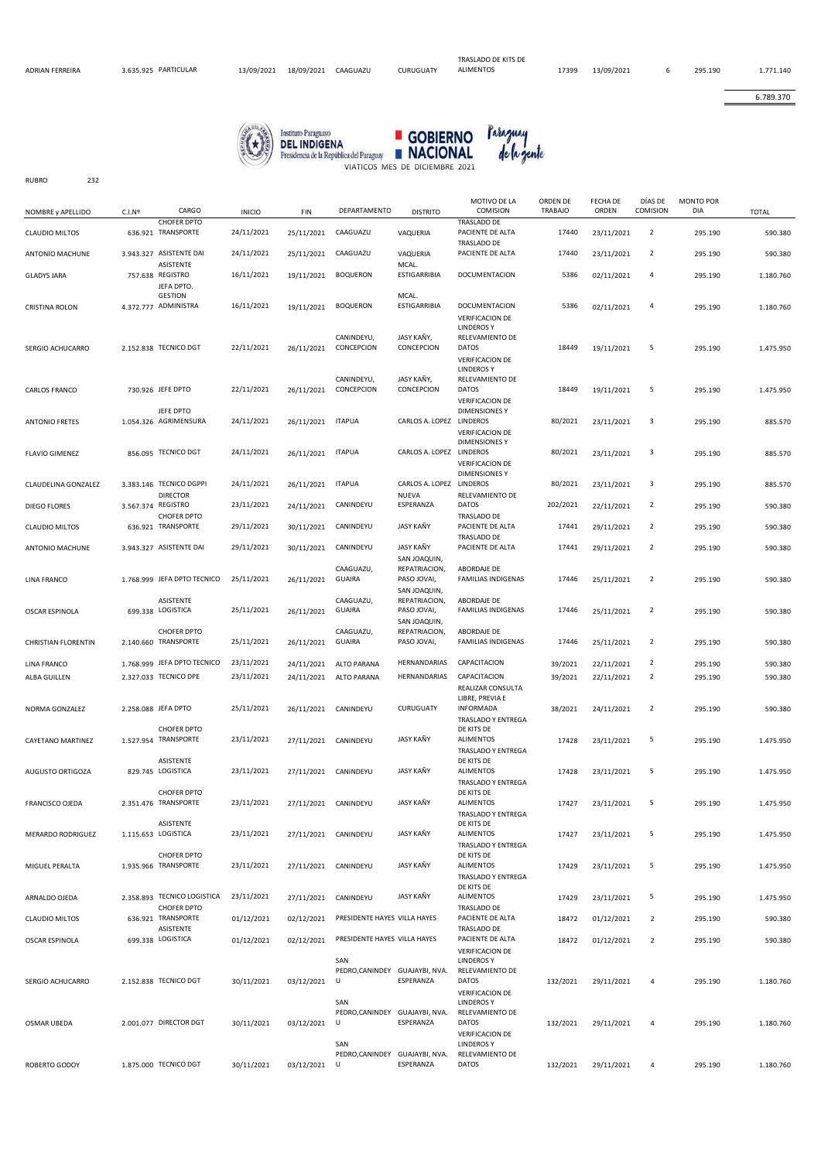RUBRO 232

6.789.370





| NOMBRE y APELLIDO          | C.I.N <sup>2</sup> | CARGO                                              | <b>INICIO</b> | <b>FIN</b>           | DEPARTAMENTO                                      | <b>DISTRITO</b>                                              | MOTIVO DE LA<br>COMISION                                                                   | ORDEN DE<br><b>TRABAJO</b> | FECHA DE<br>ORDEN | DÍAS DE<br>COMISION | <b>MONTO POR</b><br>DIA | <b>TOTAL</b> |
|----------------------------|--------------------|----------------------------------------------------|---------------|----------------------|---------------------------------------------------|--------------------------------------------------------------|--------------------------------------------------------------------------------------------|----------------------------|-------------------|---------------------|-------------------------|--------------|
| <b>CLAUDIO MILTOS</b>      |                    | CHOFER DPTO<br>636.921 TRANSPORTE                  | 24/11/2021    | 25/11/2021           | CAAGUAZU                                          | VAQUERIA                                                     | TRASLADO DE<br>PACIENTE DE ALTA                                                            | 17440                      | 23/11/2021        | $\overline{2}$      | 295.190                 | 590.380      |
| ANTONIO MACHUNE            |                    | 3.943.327 ASISTENTE DAI                            | 24/11/2021    | 25/11/2021           | CAAGUAZU                                          | VAQUERIA                                                     | TRASLADO DE<br>PACIENTE DE ALTA                                                            | 17440                      | 23/11/2021        | $\overline{2}$      | 295.190                 | 590.380      |
| <b>GLADYS JARA</b>         |                    | <b>ASISTENTE</b><br>757.638 REGISTRO<br>JEFA DPTO. | 16/11/2021    | 19/11/2021           | <b>BOQUERON</b>                                   | MCAL.<br><b>ESTIGARRIBIA</b>                                 | <b>DOCUMENTACION</b>                                                                       | 5386                       | 02/11/2021        | 4                   | 295.190                 | 1.180.760    |
| CRISTINA ROLON             |                    | <b>GESTION</b><br>4.372.777 ADMINISTRA             | 16/11/2021    | 19/11/2021           | <b>BOQUERON</b>                                   | MCAL.<br><b>ESTIGARRIBIA</b>                                 | DOCUMENTACION<br><b>VERIFICACION DE</b>                                                    | 5386                       | 02/11/2021        | 4                   | 295.190                 | 1.180.760    |
| SERGIO ACHUCARRO           |                    | 2.152.838 TECNICO DGT                              | 22/11/2021    | 26/11/2021           | CANINDEYU,<br>CONCEPCION                          | JASY KAÑY,<br>CONCEPCION                                     | <b>LINDEROSY</b><br>RELEVAMIENTO DE<br><b>DATOS</b><br>VERIFICACION DE<br><b>LINDEROSY</b> | 18449                      | 19/11/2021        | 5                   | 295.190                 | 1.475.950    |
| CARLOS FRANCO              |                    | 730.926 JEFE DPTO                                  | 22/11/2021    | 26/11/2021           | CANINDEYU,<br>CONCEPCION                          | JASY KAÑY,<br>CONCEPCION                                     | RELEVAMIENTO DE<br><b>DATOS</b><br><b>VERIFICACION DE</b>                                  | 18449                      | 19/11/2021        | 5                   | 295.190                 | 1.475.950    |
| <b>ANTONIO FRETES</b>      |                    | JEFE DPTO<br>1.054.326 AGRIMENSURA                 | 24/11/2021    | 26/11/2021           | <b>ITAPUA</b>                                     | CARLOS A. LOPEZ LINDEROS                                     | <b>DIMENSIONES Y</b><br><b>VERIFICACION DE</b>                                             | 80/2021                    | 23/11/2021        | 3                   | 295.190                 | 885.570      |
| <b>FLAVIO GIMENEZ</b>      |                    | 856.095 TECNICO DGT                                | 24/11/2021    | 26/11/2021           | <b>ITAPUA</b>                                     | CARLOS A. LOPEZ LINDEROS                                     | <b>DIMENSIONES Y</b><br><b>VERIFICACION DE</b>                                             | 80/2021                    | 23/11/2021        | 3                   | 295.190                 | 885.570      |
| CLAUDELINA GONZALEZ        |                    | 3.383.146 TECNICO DGPPI<br><b>DIRECTOR</b>         | 24/11/2021    | 26/11/2021           | <b>ITAPUA</b>                                     | CARLOS A. LOPEZ LINDEROS<br>NUEVA                            | <b>DIMENSIONES Y</b><br>RELEVAMIENTO DE                                                    | 80/2021                    | 23/11/2021        | 3                   | 295.190                 | 885.570      |
| <b>DIEGO FLORES</b>        |                    | 3.567.374 REGISTRO<br><b>CHOFER DPTO</b>           | 23/11/2021    | 24/11/2021           | CANINDEYU                                         | ESPERANZA                                                    | <b>DATOS</b><br>TRASLADO DE                                                                | 202/2021                   | 22/11/2021        | $\overline{2}$      | 295.190                 | 590.380      |
| <b>CLAUDIO MILTOS</b>      |                    | 636.921 TRANSPORTE                                 | 29/11/2021    | 30/11/2021           | CANINDEYU                                         | JASY KAÑY                                                    | PACIENTE DE ALTA<br>TRASLADO DE                                                            | 17441                      | 29/11/2021        | $\overline{2}$      | 295.190                 | 590.380      |
| ANTONIO MACHUNE            |                    | 3.943.327 ASISTENTE DAI                            | 29/11/2021    | 30/11/2021           | CANINDEYU                                         | JASY KAÑY                                                    | PACIENTE DE ALTA                                                                           | 17441                      | 29/11/2021        | $\overline{2}$      | 295.190                 | 590.380      |
| <b>LINA FRANCO</b>         |                    | 1.768.999 JEFA DPTO TECNICO                        | 25/11/2021    | 26/11/2021           | CAAGUAZU,<br>GUAIRA                               | SAN JOAQUIN,<br>REPATRIACION,<br>PASO JOVAI,<br>SAN JOAQUIN, | ABORDAJE DE<br><b>FAMILIAS INDIGENAS</b>                                                   | 17446                      | 25/11/2021        | $\overline{2}$      | 295.190                 | 590.380      |
| OSCAR ESPINOLA             |                    | ASISTENTE<br>699.338 LOGISTICA                     | 25/11/2021    | 26/11/2021           | CAAGUAZU,<br>GUAIRA                               | REPATRIACION,<br>PASO JOVAI,<br>SAN JOAQUIN,                 | ABORDAJE DE<br><b>FAMILIAS INDIGENAS</b>                                                   | 17446                      | 25/11/2021        | $\overline{2}$      | 295.190                 | 590.380      |
| <b>CHRISTIAN FLORENTIN</b> |                    | <b>CHOFER DPTO</b><br>2.140.660 TRANSPORTE         | 25/11/2021    | 26/11/2021           | CAAGUAZU,<br>GUAIRA                               | REPATRIACION,<br>PASO JOVAI,                                 | ABORDAJE DE<br><b>FAMILIAS INDIGENAS</b>                                                   | 17446                      | 25/11/2021        | $\overline{2}$      | 295.190                 | 590.380      |
| <b>LINA FRANCO</b>         |                    | 1.768.999 JEFA DPTO TECNICO                        | 23/11/2021    | 24/11/2021           | ALTO PARANA                                       | HERNANDARIAS                                                 | CAPACITACION                                                                               | 39/2021                    | 22/11/2021        | $\overline{2}$      | 295.190                 | 590.380      |
| ALBA GUILLEN               |                    | 2.327.033 TECNICO DPE                              | 23/11/2021    | 24/11/2021           | ALTO PARANA                                       | HERNANDARIAS                                                 | CAPACITACION                                                                               | 39/2021                    | 22/11/2021        | $\overline{2}$      | 295.190                 | 590.380      |
| NORMA GONZALEZ             |                    | 2.258.088 JEFA DPTO                                | 25/11/2021    | 26/11/2021           | CANINDEYU                                         | CURUGUATY                                                    | REALIZAR CONSULTA<br>LIBRE, PREVIA E<br>INFORMADA<br>TRASLADO Y ENTREGA                    | 38/2021                    | 24/11/2021        | $\overline{2}$      | 295.190                 | 590.380      |
| CAYETANO MARTINEZ          |                    | CHOFER DPTO<br>1.527.954 TRANSPORTE                | 23/11/2021    | 27/11/2021 CANINDEYU |                                                   | JASY KAÑY                                                    | DE KITS DE<br><b>ALIMENTOS</b><br>TRASLADO Y ENTREGA                                       | 17428                      | 23/11/2021        | 5                   | 295.190                 | 1.475.950    |
| AUGUSTO ORTIGOZA           |                    | ASISTENTE<br>829.745 LOGISTICA                     | 23/11/2021    | 27/11/2021           | CANINDEYU                                         | JASY KAÑY                                                    | DE KITS DE<br><b>ALIMENTOS</b>                                                             | 17428                      | 23/11/2021        | 5                   | 295.190                 | 1.475.950    |
| FRANCISCO OJEDA            |                    | <b>CHOFER DPTO</b><br>2.351.476 TRANSPORTE         | 23/11/2021    | 27/11/2021           | CANINDEYU                                         | JASY KAÑY                                                    | TRASLADO Y ENTREGA<br>DE KITS DE<br><b>ALIMENTOS</b><br>TRASLADO Y ENTREGA                 | 17427                      | 23/11/2021        | 5                   | 295.190                 | 1.475.950    |
| MERARDO RODRIGUEZ          |                    | ASISTENTE<br>1.115.653 LOGISTICA                   | 23/11/2021    | 27/11/2021           | CANINDEYU                                         | JASY KAÑY                                                    | DE KITS DE<br><b>ALIMENTOS</b><br>TRASLADO Y ENTREGA                                       | 17427                      | 23/11/2021        | 5                   | 295.190                 | 1.475.950    |
| MIGUEL PERALTA             |                    | CHOFER DPTO<br>1.935.966 TRANSPORTE                | 23/11/2021    | 27/11/2021           | CANINDEYU                                         | JASY KAÑY                                                    | DE KITS DE<br><b>ALIMENTOS</b><br>TRASLADO Y ENTREGA                                       | 17429                      | 23/11/2021        | 5                   | 295.190                 | 1.475.950    |
| ARNALDO OJEDA              |                    | 2.358.893 TECNICO LOGISTICA                        | 23/11/2021    | 27/11/2021           | CANINDEYU                                         | JASY KAÑY                                                    | DE KITS DE<br><b>ALIMENTOS</b>                                                             | 17429                      | 23/11/2021        | 5                   | 295.190                 | 1.475.950    |
| <b>CLAUDIO MILTOS</b>      |                    | <b>CHOFER DPTO</b><br>636.921 TRANSPORTE           | 01/12/2021    | 02/12/2021           | PRESIDENTE HAYES VILLA HAYES                      |                                                              | TRASLADO DE<br>PACIENTE DE ALTA                                                            | 18472                      | 01/12/2021        | $\overline{2}$      | 295.190                 | 590.380      |
| OSCAR ESPINOLA             |                    | ASISTENTE<br>699.338 LOGISTICA                     | 01/12/2021    | 02/12/2021           | PRESIDENTE HAYES VILLA HAYES                      |                                                              | TRASLADO DE<br>PACIENTE DE ALTA<br><b>VERIFICACION DE</b>                                  | 18472                      | 01/12/2021        | $\overline{2}$      | 295.190                 | 590.380      |
| SERGIO ACHUCARRO           |                    | 2.152.838 TECNICO DGT                              | 30/11/2021    | 03/12/2021           | SAN<br>PEDRO, CANINDEY GUAJAYBI, NVA.<br>U<br>SAN | ESPERANZA                                                    | <b>LINDEROSY</b><br>RELEVAMIENTO DE<br><b>DATOS</b><br>VERIFICACION DE<br><b>LINDEROSY</b> | 132/2021                   | 29/11/2021        | 4                   | 295.190                 | 1.180.760    |
| OSMAR UBEDA                |                    | 2.001.077 DIRECTOR DGT                             | 30/11/2021    | 03/12/2021           | PEDRO, CANINDEY GUAJAYBI, NVA.<br>U               | ESPERANZA                                                    | RELEVAMIENTO DE<br><b>DATOS</b><br>VERIFICACION DE                                         | 132/2021                   | 29/11/2021        | 4                   | 295.190                 | 1.180.760    |
| ROBERTO GODOY              |                    | 1.875.000 TECNICO DGT                              | 30/11/2021    | 03/12/2021           | SAN<br>PEDRO, CANINDEY GUAJAYBI, NVA.<br>U        | ESPERANZA                                                    | <b>LINDEROSY</b><br>RELEVAMIENTO DE<br><b>DATOS</b>                                        | 132/2021                   | 29/11/2021        | 4                   | 295.190                 | 1.180.760    |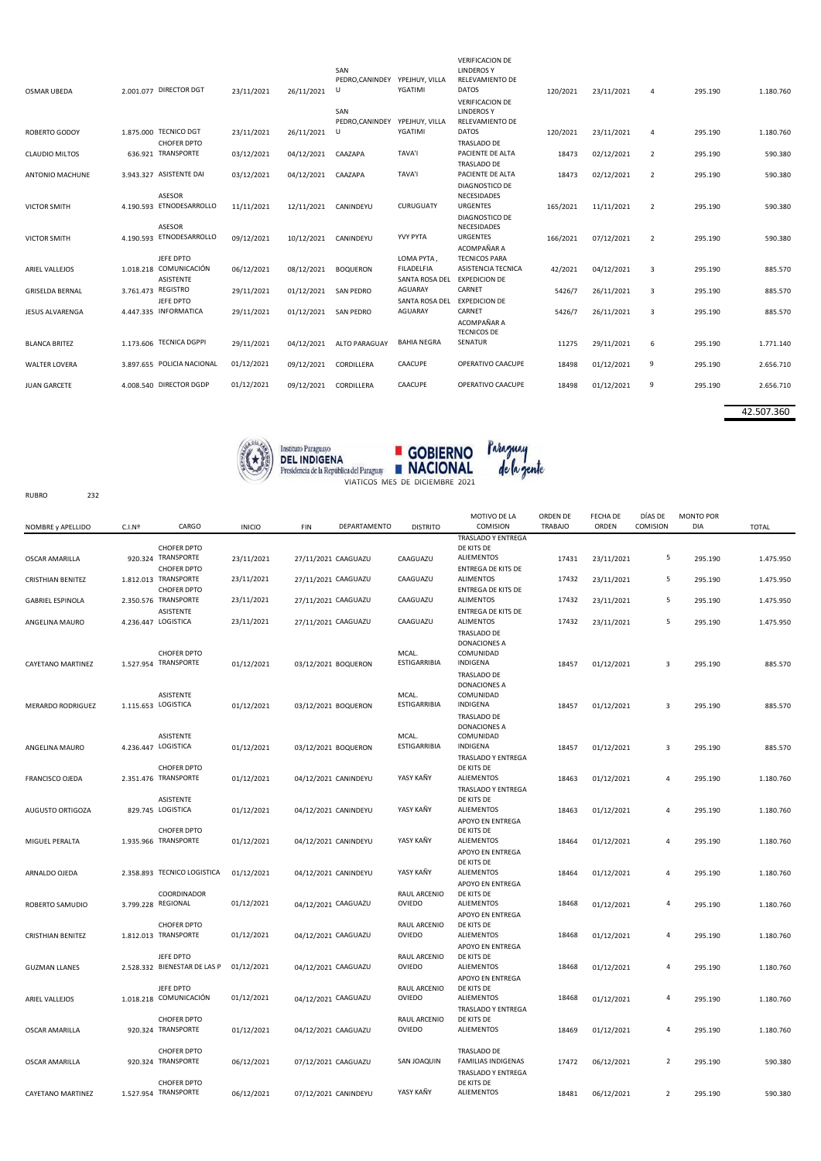| <b>OSMAR UBEDA</b>     | 2.001.077 DIRECTOR DGT              | 23/11/2021 | 26/11/2021 | SAN<br>PEDRO, CANINDEY<br>U | YPEJHUY, VILLA<br>YGATIMI | <b>VERIFICACION DE</b><br><b>LINDEROSY</b><br>RELEVAMIENTO DE<br><b>DATOS</b><br><b>VERIFICACION DE</b> | 120/2021 | 23/11/2021 | 4              | 295.190 | 1.180.760 |
|------------------------|-------------------------------------|------------|------------|-----------------------------|---------------------------|---------------------------------------------------------------------------------------------------------|----------|------------|----------------|---------|-----------|
|                        |                                     |            |            | SAN<br>PEDRO.CANINDEY       | YPEJHUY, VILLA            | <b>LINDEROS Y</b><br>RELEVAMIENTO DE                                                                    |          |            |                |         |           |
| <b>ROBERTO GODOY</b>   | 1.875.000 TECNICO DGT               | 23/11/2021 | 26/11/2021 | U                           | YGATIMI                   | <b>DATOS</b>                                                                                            | 120/2021 | 23/11/2021 | $\overline{4}$ | 295.190 | 1.180.760 |
|                        | <b>CHOFER DPTO</b>                  |            |            |                             |                           | TRASLADO DE                                                                                             |          |            |                |         |           |
| <b>CLAUDIO MILTOS</b>  | 636.921 TRANSPORTE                  | 03/12/2021 | 04/12/2021 | CAAZAPA                     | <b>TAVA'I</b>             | PACIENTE DE ALTA                                                                                        | 18473    | 02/12/2021 | $\overline{2}$ | 295.190 | 590.380   |
|                        |                                     |            |            |                             |                           | TRASLADO DE                                                                                             |          |            |                |         |           |
| ANTONIO MACHUNE        | 3.943.327 ASISTENTE DAI             | 03/12/2021 | 04/12/2021 | CAAZAPA                     | <b>TAVA'I</b>             | PACIENTE DE ALTA                                                                                        | 18473    | 02/12/2021 | $\overline{2}$ | 295.190 | 590.380   |
|                        |                                     |            |            |                             |                           | DIAGNOSTICO DE                                                                                          |          |            |                |         |           |
|                        | <b>ASESOR</b>                       |            |            |                             |                           | <b>NECESIDADES</b>                                                                                      |          |            |                |         |           |
| <b>VICTOR SMITH</b>    | 4.190.593 ETNODESARROLLO            | 11/11/2021 | 12/11/2021 | CANINDEYU                   | CURUGUATY                 | <b>URGENTES</b>                                                                                         | 165/2021 | 11/11/2021 | $\overline{2}$ | 295.190 | 590.380   |
|                        |                                     |            |            |                             |                           | DIAGNOSTICO DE                                                                                          |          |            |                |         |           |
|                        | <b>ASESOR</b>                       |            |            |                             |                           | NECESIDADES                                                                                             |          |            |                |         |           |
| <b>VICTOR SMITH</b>    | 4.190.593 ETNODESARROLLO            | 09/12/2021 | 10/12/2021 | CANINDEYU                   | <b>YVY PYTA</b>           | <b>URGENTES</b>                                                                                         | 166/2021 | 07/12/2021 | $\overline{2}$ | 295.190 | 590.380   |
|                        |                                     |            |            |                             |                           | ACOMPAÑAR A                                                                                             |          |            |                |         |           |
|                        | JEFE DPTO<br>1.018.218 COMUNICACIÓN |            |            |                             | LOMA PYTA,<br>FILADELFIA  | <b>TECNICOS PARA</b><br>ASISTENCIA TECNICA                                                              |          |            |                |         |           |
| <b>ARIEL VALLEJOS</b>  | ASISTENTE                           | 06/12/2021 | 08/12/2021 | <b>BOQUERON</b>             | SANTA ROSA DEL            | <b>EXPEDICION DE</b>                                                                                    | 42/2021  | 04/12/2021 | 3              | 295.190 | 885.570   |
| <b>GRISELDA BERNAL</b> | 3.761.473 REGISTRO                  | 29/11/2021 | 01/12/2021 | <b>SAN PEDRO</b>            | <b>AGUARAY</b>            | CARNET                                                                                                  | 5426/7   | 26/11/2021 | $\overline{3}$ | 295.190 | 885.570   |
|                        | JEFE DPTO                           |            |            |                             | SANTA ROSA DEL            | <b>EXPEDICION DE</b>                                                                                    |          |            |                |         |           |
| <b>JESUS ALVARENGA</b> | 4.447.335 INFORMATICA               | 29/11/2021 | 01/12/2021 | <b>SAN PEDRO</b>            | AGUARAY                   | CARNET                                                                                                  | 5426/7   | 26/11/2021 | 3              | 295.190 | 885.570   |
|                        |                                     |            |            |                             |                           | ACOMPAÑAR A                                                                                             |          |            |                |         |           |
|                        |                                     |            |            |                             |                           | <b>TECNICOS DE</b>                                                                                      |          |            |                |         |           |
| <b>BLANCA BRITEZ</b>   | 1.173.606 TECNICA DGPPI             | 29/11/2021 | 04/12/2021 | ALTO PARAGUAY               | <b>BAHIA NEGRA</b>        | <b>SENATUR</b>                                                                                          | 11275    | 29/11/2021 | 6              | 295.190 | 1.771.140 |
|                        |                                     |            |            |                             |                           |                                                                                                         |          |            |                |         |           |
| <b>WALTER LOVERA</b>   | 3.897.655 POLICIA NACIONAL          | 01/12/2021 | 09/12/2021 | CORDILLERA                  | CAACUPE                   | OPERATIVO CAACUPE                                                                                       | 18498    | 01/12/2021 | 9              | 295.190 | 2.656.710 |
|                        |                                     |            |            |                             |                           |                                                                                                         |          |            |                |         |           |
| <b>JUAN GARCETE</b>    | 4.008.540 DIRECTOR DGDP             | 01/12/2021 | 09/12/2021 | CORDILLERA                  | CAACUPE                   | OPERATIVO CAACUPE                                                                                       | 18498    | 01/12/2021 | 9              | 295.190 | 2.656.710 |
|                        |                                     |            |            |                             |                           |                                                                                                         |          |            |                |         |           |
|                        |                                     |            |            |                             |                           |                                                                                                         |          |            |                |         |           |

42.507.360





RUBRO 232

| TRASLADO Y ENTREGA<br><b>CHOFER DPTO</b><br>DE KITS DE<br><b>ALIEMENTOS</b><br>920.324 TRANSPORTE<br>5<br><b>OSCAR AMARILLA</b><br>23/11/2021<br>27/11/2021 CAAGUAZU<br>CAAGUAZU<br>17431<br>23/11/2021<br>295.190<br>1.475.950<br>ENTREGA DE KITS DE<br><b>CHOFER DPTO</b><br>23/11/2021<br><b>ALIMENTOS</b><br>17432<br>5<br>1.812.013 TRANSPORTE<br>CAAGUAZU<br>27/11/2021 CAAGUAZU<br>23/11/2021<br><b>CRISTHIAN BENITEZ</b><br>295.190<br>1.475.950<br><b>CHOFER DPTO</b><br><b>ENTREGA DE KITS DE</b><br>2.350.576 TRANSPORTE<br>23/11/2021<br>CAAGUAZU<br><b>ALIMENTOS</b><br>5<br>27/11/2021 CAAGUAZU<br>17432<br><b>GABRIEL ESPINOLA</b><br>23/11/2021<br>295.190<br>1.475.950<br>ASISTENTE<br><b>ENTREGA DE KITS DE</b><br>23/11/2021<br>17432<br>4.236.447 LOGISTICA<br>CAAGUAZU<br><b>ALIMENTOS</b><br>5<br>27/11/2021 CAAGUAZU<br>23/11/2021<br>295.190<br>1.475.950<br>ANGELINA MAURO<br><b>TRASLADO DE</b><br><b>DONACIONES A</b><br><b>CHOFER DPTO</b><br>MCAL.<br>COMUNIDAD<br><b>ESTIGARRIBIA</b><br>1.527.954 TRANSPORTE<br>INDIGENA<br>01/12/2021<br>03/12/2021 BOQUERON<br>01/12/2021<br>3<br>CAYETANO MARTINEZ<br>18457<br>295.190<br>885.570<br>TRASLADO DE<br>DONACIONES A<br>ASISTENTE<br>MCAL.<br>COMUNIDAD<br><b>ESTIGARRIBIA</b><br>1.115.653 LOGISTICA<br>INDIGENA<br>MERARDO RODRIGUEZ<br>01/12/2021<br>03/12/2021 BOQUERON<br>18457<br>01/12/2021<br>3<br>295.190<br>885.570<br><b>TRASLADO DE</b><br><b>DONACIONES A</b><br>ASISTENTE<br>MCAL.<br>COMUNIDAD<br><b>ESTIGARRIBIA</b><br>INDIGENA<br>4.236.447 LOGISTICA<br>01/12/2021<br>03/12/2021 BOQUERON<br>01/12/2021<br>3<br>295.190<br>885.570<br>ANGELINA MAURO<br>18457<br>TRASLADO Y ENTREGA<br>CHOFER DPTO<br>DE KITS DE<br>YASY KAÑY<br><b>ALIEMENTOS</b><br>2.351.476 TRANSPORTE<br>01/12/2021<br>04/12/2021 CANINDEYU<br>01/12/2021<br>FRANCISCO OJEDA<br>18463<br>$\overline{4}$<br>295.190<br>1.180.760<br>TRASLADO Y ENTREGA<br>ASISTENTE<br>DE KITS DE<br>829.745 LOGISTICA<br>YASY KAÑY<br><b>ALIEMENTOS</b><br>01/12/2021<br>04/12/2021 CANINDEYU<br>18463<br>01/12/2021<br>295.190<br>AUGUSTO ORTIGOZA<br>$\overline{4}$<br>1.180.760<br>APOYO EN ENTREGA<br><b>CHOFER DPTO</b><br>DE KITS DE<br>YASY KAÑY<br><b>ALIEMENTOS</b><br>1.935.966 TRANSPORTE<br>01/12/2021<br>MIGUEL PERALTA<br>04/12/2021 CANINDEYU<br>18464<br>01/12/2021<br>$\overline{4}$<br>295.190<br>1.180.760<br>APOYO EN ENTREGA<br>DE KITS DE<br>YASY KAÑY<br><b>ALIEMENTOS</b><br>2.358.893 TECNICO LOGISTICA<br>ARNALDO OJEDA<br>01/12/2021<br>04/12/2021 CANINDEYU<br>18464<br>01/12/2021<br>295.190<br>1.180.760<br>4<br>APOYO EN ENTREGA<br>COORDINADOR<br>RAUL ARCENIO<br>DE KITS DE<br>3.799.228 REGIONAL<br>01/12/2021<br><b>OVIEDO</b><br><b>ALIEMENTOS</b><br>18468<br>ROBERTO SAMUDIO<br>04/12/2021 CAAGUAZU<br>4<br>295.190<br>01/12/2021<br>1.180.760<br><b>APOYO EN ENTREGA</b><br><b>CHOFER DPTO</b><br>RAUL ARCENIO<br>DE KITS DE<br>01/12/2021<br>1.812.013 TRANSPORTE<br>04/12/2021 CAAGUAZU<br><b>OVIEDO</b><br><b>ALIEMENTOS</b><br>18468<br><b>CRISTHIAN BENITEZ</b><br>01/12/2021<br>$\overline{4}$<br>295.190<br>1.180.760<br>APOYO EN ENTREGA<br>RAUL ARCENIO<br>DE KITS DE<br>JEFE DPTO<br>01/12/2021<br>2.528.332 BIENESTAR DE LAS P<br>OVIEDO<br><b>ALIEMENTOS</b><br>18468<br>04/12/2021 CAAGUAZU<br>4<br><b>GUZMAN LLANES</b><br>01/12/2021<br>295.190<br>1.180.760<br>APOYO EN ENTREGA<br>JEFE DPTO<br>RAUL ARCENIO<br>DE KITS DE<br>1.018.218 COMUNICACIÓN<br>01/12/2021<br>OVIEDO<br><b>ALIEMENTOS</b><br>18468<br>04/12/2021 CAAGUAZU<br>4<br>ARIEL VALLEJOS<br>01/12/2021<br>295.190<br>1.180.760<br>TRASLADO Y ENTREGA<br><b>CHOFER DPTO</b><br>RAUL ARCENIO<br>DE KITS DE<br>920.324 TRANSPORTE<br><b>OVIEDO</b><br><b>ALIEMENTOS</b><br>4<br>01/12/2021<br>295.190<br><b>OSCAR AMARILLA</b><br>04/12/2021 CAAGUAZU<br>18469<br>01/12/2021<br>1.180.760<br><b>CHOFER DPTO</b><br><b>TRASLADO DE</b><br>SAN JOAQUIN<br><b>FAMILIAS INDIGENAS</b><br>920.324 TRANSPORTE<br>$\overline{2}$<br>06/12/2021<br>07/12/2021 CAAGUAZU<br>17472<br>06/12/2021<br>295.190<br>590.380<br><b>OSCAR AMARILLA</b><br>TRASLADO Y ENTREGA<br><b>CHOFER DPTO</b><br>DE KITS DE<br>1.527.954 TRANSPORTE<br>06/12/2021<br>07/12/2021 CANINDEYU<br>YASY KAÑY<br><b>ALIEMENTOS</b><br>06/12/2021<br>295.190<br>CAYETANO MARTINEZ<br>18481<br>$\overline{2}$<br>590.380 | NOMBRE y APELLIDO | C.I.N <sup>2</sup> | CARGO | <b>INICIO</b> | <b>FIN</b> | DEPARTAMENTO | <b>DISTRITO</b> | MOTIVO DE LA<br>COMISION | ORDEN DE<br><b>TRABAJO</b> | FECHA DE<br>ORDEN | DÍAS DE<br>COMISION | <b>MONTO POR</b><br>DIA | <b>TOTAL</b> |
|--------------------------------------------------------------------------------------------------------------------------------------------------------------------------------------------------------------------------------------------------------------------------------------------------------------------------------------------------------------------------------------------------------------------------------------------------------------------------------------------------------------------------------------------------------------------------------------------------------------------------------------------------------------------------------------------------------------------------------------------------------------------------------------------------------------------------------------------------------------------------------------------------------------------------------------------------------------------------------------------------------------------------------------------------------------------------------------------------------------------------------------------------------------------------------------------------------------------------------------------------------------------------------------------------------------------------------------------------------------------------------------------------------------------------------------------------------------------------------------------------------------------------------------------------------------------------------------------------------------------------------------------------------------------------------------------------------------------------------------------------------------------------------------------------------------------------------------------------------------------------------------------------------------------------------------------------------------------------------------------------------------------------------------------------------------------------------------------------------------------------------------------------------------------------------------------------------------------------------------------------------------------------------------------------------------------------------------------------------------------------------------------------------------------------------------------------------------------------------------------------------------------------------------------------------------------------------------------------------------------------------------------------------------------------------------------------------------------------------------------------------------------------------------------------------------------------------------------------------------------------------------------------------------------------------------------------------------------------------------------------------------------------------------------------------------------------------------------------------------------------------------------------------------------------------------------------------------------------------------------------------------------------------------------------------------------------------------------------------------------------------------------------------------------------------------------------------------------------------------------------------------------------------------------------------------------------------------------------------------------------------------------------------------------------------------------------------------------------------------------------------------------------------------------------------------------------------------------------------------------------------------------------------------------------------------------------------------------------------------------------------------------------------------------------------------------------------------------------------------------------------------------------------------------------------------------------------------------------------------------------------------------------------------------------------------------------------------------------------------|-------------------|--------------------|-------|---------------|------------|--------------|-----------------|--------------------------|----------------------------|-------------------|---------------------|-------------------------|--------------|
|                                                                                                                                                                                                                                                                                                                                                                                                                                                                                                                                                                                                                                                                                                                                                                                                                                                                                                                                                                                                                                                                                                                                                                                                                                                                                                                                                                                                                                                                                                                                                                                                                                                                                                                                                                                                                                                                                                                                                                                                                                                                                                                                                                                                                                                                                                                                                                                                                                                                                                                                                                                                                                                                                                                                                                                                                                                                                                                                                                                                                                                                                                                                                                                                                                                                                                                                                                                                                                                                                                                                                                                                                                                                                                                                                                                                                                                                                                                                                                                                                                                                                                                                                                                                                                                                                                                                                              |                   |                    |       |               |            |              |                 |                          |                            |                   |                     |                         |              |
|                                                                                                                                                                                                                                                                                                                                                                                                                                                                                                                                                                                                                                                                                                                                                                                                                                                                                                                                                                                                                                                                                                                                                                                                                                                                                                                                                                                                                                                                                                                                                                                                                                                                                                                                                                                                                                                                                                                                                                                                                                                                                                                                                                                                                                                                                                                                                                                                                                                                                                                                                                                                                                                                                                                                                                                                                                                                                                                                                                                                                                                                                                                                                                                                                                                                                                                                                                                                                                                                                                                                                                                                                                                                                                                                                                                                                                                                                                                                                                                                                                                                                                                                                                                                                                                                                                                                                              |                   |                    |       |               |            |              |                 |                          |                            |                   |                     |                         |              |
|                                                                                                                                                                                                                                                                                                                                                                                                                                                                                                                                                                                                                                                                                                                                                                                                                                                                                                                                                                                                                                                                                                                                                                                                                                                                                                                                                                                                                                                                                                                                                                                                                                                                                                                                                                                                                                                                                                                                                                                                                                                                                                                                                                                                                                                                                                                                                                                                                                                                                                                                                                                                                                                                                                                                                                                                                                                                                                                                                                                                                                                                                                                                                                                                                                                                                                                                                                                                                                                                                                                                                                                                                                                                                                                                                                                                                                                                                                                                                                                                                                                                                                                                                                                                                                                                                                                                                              |                   |                    |       |               |            |              |                 |                          |                            |                   |                     |                         |              |
|                                                                                                                                                                                                                                                                                                                                                                                                                                                                                                                                                                                                                                                                                                                                                                                                                                                                                                                                                                                                                                                                                                                                                                                                                                                                                                                                                                                                                                                                                                                                                                                                                                                                                                                                                                                                                                                                                                                                                                                                                                                                                                                                                                                                                                                                                                                                                                                                                                                                                                                                                                                                                                                                                                                                                                                                                                                                                                                                                                                                                                                                                                                                                                                                                                                                                                                                                                                                                                                                                                                                                                                                                                                                                                                                                                                                                                                                                                                                                                                                                                                                                                                                                                                                                                                                                                                                                              |                   |                    |       |               |            |              |                 |                          |                            |                   |                     |                         |              |
|                                                                                                                                                                                                                                                                                                                                                                                                                                                                                                                                                                                                                                                                                                                                                                                                                                                                                                                                                                                                                                                                                                                                                                                                                                                                                                                                                                                                                                                                                                                                                                                                                                                                                                                                                                                                                                                                                                                                                                                                                                                                                                                                                                                                                                                                                                                                                                                                                                                                                                                                                                                                                                                                                                                                                                                                                                                                                                                                                                                                                                                                                                                                                                                                                                                                                                                                                                                                                                                                                                                                                                                                                                                                                                                                                                                                                                                                                                                                                                                                                                                                                                                                                                                                                                                                                                                                                              |                   |                    |       |               |            |              |                 |                          |                            |                   |                     |                         |              |
|                                                                                                                                                                                                                                                                                                                                                                                                                                                                                                                                                                                                                                                                                                                                                                                                                                                                                                                                                                                                                                                                                                                                                                                                                                                                                                                                                                                                                                                                                                                                                                                                                                                                                                                                                                                                                                                                                                                                                                                                                                                                                                                                                                                                                                                                                                                                                                                                                                                                                                                                                                                                                                                                                                                                                                                                                                                                                                                                                                                                                                                                                                                                                                                                                                                                                                                                                                                                                                                                                                                                                                                                                                                                                                                                                                                                                                                                                                                                                                                                                                                                                                                                                                                                                                                                                                                                                              |                   |                    |       |               |            |              |                 |                          |                            |                   |                     |                         |              |
|                                                                                                                                                                                                                                                                                                                                                                                                                                                                                                                                                                                                                                                                                                                                                                                                                                                                                                                                                                                                                                                                                                                                                                                                                                                                                                                                                                                                                                                                                                                                                                                                                                                                                                                                                                                                                                                                                                                                                                                                                                                                                                                                                                                                                                                                                                                                                                                                                                                                                                                                                                                                                                                                                                                                                                                                                                                                                                                                                                                                                                                                                                                                                                                                                                                                                                                                                                                                                                                                                                                                                                                                                                                                                                                                                                                                                                                                                                                                                                                                                                                                                                                                                                                                                                                                                                                                                              |                   |                    |       |               |            |              |                 |                          |                            |                   |                     |                         |              |
|                                                                                                                                                                                                                                                                                                                                                                                                                                                                                                                                                                                                                                                                                                                                                                                                                                                                                                                                                                                                                                                                                                                                                                                                                                                                                                                                                                                                                                                                                                                                                                                                                                                                                                                                                                                                                                                                                                                                                                                                                                                                                                                                                                                                                                                                                                                                                                                                                                                                                                                                                                                                                                                                                                                                                                                                                                                                                                                                                                                                                                                                                                                                                                                                                                                                                                                                                                                                                                                                                                                                                                                                                                                                                                                                                                                                                                                                                                                                                                                                                                                                                                                                                                                                                                                                                                                                                              |                   |                    |       |               |            |              |                 |                          |                            |                   |                     |                         |              |
|                                                                                                                                                                                                                                                                                                                                                                                                                                                                                                                                                                                                                                                                                                                                                                                                                                                                                                                                                                                                                                                                                                                                                                                                                                                                                                                                                                                                                                                                                                                                                                                                                                                                                                                                                                                                                                                                                                                                                                                                                                                                                                                                                                                                                                                                                                                                                                                                                                                                                                                                                                                                                                                                                                                                                                                                                                                                                                                                                                                                                                                                                                                                                                                                                                                                                                                                                                                                                                                                                                                                                                                                                                                                                                                                                                                                                                                                                                                                                                                                                                                                                                                                                                                                                                                                                                                                                              |                   |                    |       |               |            |              |                 |                          |                            |                   |                     |                         |              |
|                                                                                                                                                                                                                                                                                                                                                                                                                                                                                                                                                                                                                                                                                                                                                                                                                                                                                                                                                                                                                                                                                                                                                                                                                                                                                                                                                                                                                                                                                                                                                                                                                                                                                                                                                                                                                                                                                                                                                                                                                                                                                                                                                                                                                                                                                                                                                                                                                                                                                                                                                                                                                                                                                                                                                                                                                                                                                                                                                                                                                                                                                                                                                                                                                                                                                                                                                                                                                                                                                                                                                                                                                                                                                                                                                                                                                                                                                                                                                                                                                                                                                                                                                                                                                                                                                                                                                              |                   |                    |       |               |            |              |                 |                          |                            |                   |                     |                         |              |
|                                                                                                                                                                                                                                                                                                                                                                                                                                                                                                                                                                                                                                                                                                                                                                                                                                                                                                                                                                                                                                                                                                                                                                                                                                                                                                                                                                                                                                                                                                                                                                                                                                                                                                                                                                                                                                                                                                                                                                                                                                                                                                                                                                                                                                                                                                                                                                                                                                                                                                                                                                                                                                                                                                                                                                                                                                                                                                                                                                                                                                                                                                                                                                                                                                                                                                                                                                                                                                                                                                                                                                                                                                                                                                                                                                                                                                                                                                                                                                                                                                                                                                                                                                                                                                                                                                                                                              |                   |                    |       |               |            |              |                 |                          |                            |                   |                     |                         |              |
|                                                                                                                                                                                                                                                                                                                                                                                                                                                                                                                                                                                                                                                                                                                                                                                                                                                                                                                                                                                                                                                                                                                                                                                                                                                                                                                                                                                                                                                                                                                                                                                                                                                                                                                                                                                                                                                                                                                                                                                                                                                                                                                                                                                                                                                                                                                                                                                                                                                                                                                                                                                                                                                                                                                                                                                                                                                                                                                                                                                                                                                                                                                                                                                                                                                                                                                                                                                                                                                                                                                                                                                                                                                                                                                                                                                                                                                                                                                                                                                                                                                                                                                                                                                                                                                                                                                                                              |                   |                    |       |               |            |              |                 |                          |                            |                   |                     |                         |              |
|                                                                                                                                                                                                                                                                                                                                                                                                                                                                                                                                                                                                                                                                                                                                                                                                                                                                                                                                                                                                                                                                                                                                                                                                                                                                                                                                                                                                                                                                                                                                                                                                                                                                                                                                                                                                                                                                                                                                                                                                                                                                                                                                                                                                                                                                                                                                                                                                                                                                                                                                                                                                                                                                                                                                                                                                                                                                                                                                                                                                                                                                                                                                                                                                                                                                                                                                                                                                                                                                                                                                                                                                                                                                                                                                                                                                                                                                                                                                                                                                                                                                                                                                                                                                                                                                                                                                                              |                   |                    |       |               |            |              |                 |                          |                            |                   |                     |                         |              |
|                                                                                                                                                                                                                                                                                                                                                                                                                                                                                                                                                                                                                                                                                                                                                                                                                                                                                                                                                                                                                                                                                                                                                                                                                                                                                                                                                                                                                                                                                                                                                                                                                                                                                                                                                                                                                                                                                                                                                                                                                                                                                                                                                                                                                                                                                                                                                                                                                                                                                                                                                                                                                                                                                                                                                                                                                                                                                                                                                                                                                                                                                                                                                                                                                                                                                                                                                                                                                                                                                                                                                                                                                                                                                                                                                                                                                                                                                                                                                                                                                                                                                                                                                                                                                                                                                                                                                              |                   |                    |       |               |            |              |                 |                          |                            |                   |                     |                         |              |
|                                                                                                                                                                                                                                                                                                                                                                                                                                                                                                                                                                                                                                                                                                                                                                                                                                                                                                                                                                                                                                                                                                                                                                                                                                                                                                                                                                                                                                                                                                                                                                                                                                                                                                                                                                                                                                                                                                                                                                                                                                                                                                                                                                                                                                                                                                                                                                                                                                                                                                                                                                                                                                                                                                                                                                                                                                                                                                                                                                                                                                                                                                                                                                                                                                                                                                                                                                                                                                                                                                                                                                                                                                                                                                                                                                                                                                                                                                                                                                                                                                                                                                                                                                                                                                                                                                                                                              |                   |                    |       |               |            |              |                 |                          |                            |                   |                     |                         |              |
|                                                                                                                                                                                                                                                                                                                                                                                                                                                                                                                                                                                                                                                                                                                                                                                                                                                                                                                                                                                                                                                                                                                                                                                                                                                                                                                                                                                                                                                                                                                                                                                                                                                                                                                                                                                                                                                                                                                                                                                                                                                                                                                                                                                                                                                                                                                                                                                                                                                                                                                                                                                                                                                                                                                                                                                                                                                                                                                                                                                                                                                                                                                                                                                                                                                                                                                                                                                                                                                                                                                                                                                                                                                                                                                                                                                                                                                                                                                                                                                                                                                                                                                                                                                                                                                                                                                                                              |                   |                    |       |               |            |              |                 |                          |                            |                   |                     |                         |              |
|                                                                                                                                                                                                                                                                                                                                                                                                                                                                                                                                                                                                                                                                                                                                                                                                                                                                                                                                                                                                                                                                                                                                                                                                                                                                                                                                                                                                                                                                                                                                                                                                                                                                                                                                                                                                                                                                                                                                                                                                                                                                                                                                                                                                                                                                                                                                                                                                                                                                                                                                                                                                                                                                                                                                                                                                                                                                                                                                                                                                                                                                                                                                                                                                                                                                                                                                                                                                                                                                                                                                                                                                                                                                                                                                                                                                                                                                                                                                                                                                                                                                                                                                                                                                                                                                                                                                                              |                   |                    |       |               |            |              |                 |                          |                            |                   |                     |                         |              |
|                                                                                                                                                                                                                                                                                                                                                                                                                                                                                                                                                                                                                                                                                                                                                                                                                                                                                                                                                                                                                                                                                                                                                                                                                                                                                                                                                                                                                                                                                                                                                                                                                                                                                                                                                                                                                                                                                                                                                                                                                                                                                                                                                                                                                                                                                                                                                                                                                                                                                                                                                                                                                                                                                                                                                                                                                                                                                                                                                                                                                                                                                                                                                                                                                                                                                                                                                                                                                                                                                                                                                                                                                                                                                                                                                                                                                                                                                                                                                                                                                                                                                                                                                                                                                                                                                                                                                              |                   |                    |       |               |            |              |                 |                          |                            |                   |                     |                         |              |
|                                                                                                                                                                                                                                                                                                                                                                                                                                                                                                                                                                                                                                                                                                                                                                                                                                                                                                                                                                                                                                                                                                                                                                                                                                                                                                                                                                                                                                                                                                                                                                                                                                                                                                                                                                                                                                                                                                                                                                                                                                                                                                                                                                                                                                                                                                                                                                                                                                                                                                                                                                                                                                                                                                                                                                                                                                                                                                                                                                                                                                                                                                                                                                                                                                                                                                                                                                                                                                                                                                                                                                                                                                                                                                                                                                                                                                                                                                                                                                                                                                                                                                                                                                                                                                                                                                                                                              |                   |                    |       |               |            |              |                 |                          |                            |                   |                     |                         |              |
|                                                                                                                                                                                                                                                                                                                                                                                                                                                                                                                                                                                                                                                                                                                                                                                                                                                                                                                                                                                                                                                                                                                                                                                                                                                                                                                                                                                                                                                                                                                                                                                                                                                                                                                                                                                                                                                                                                                                                                                                                                                                                                                                                                                                                                                                                                                                                                                                                                                                                                                                                                                                                                                                                                                                                                                                                                                                                                                                                                                                                                                                                                                                                                                                                                                                                                                                                                                                                                                                                                                                                                                                                                                                                                                                                                                                                                                                                                                                                                                                                                                                                                                                                                                                                                                                                                                                                              |                   |                    |       |               |            |              |                 |                          |                            |                   |                     |                         |              |
|                                                                                                                                                                                                                                                                                                                                                                                                                                                                                                                                                                                                                                                                                                                                                                                                                                                                                                                                                                                                                                                                                                                                                                                                                                                                                                                                                                                                                                                                                                                                                                                                                                                                                                                                                                                                                                                                                                                                                                                                                                                                                                                                                                                                                                                                                                                                                                                                                                                                                                                                                                                                                                                                                                                                                                                                                                                                                                                                                                                                                                                                                                                                                                                                                                                                                                                                                                                                                                                                                                                                                                                                                                                                                                                                                                                                                                                                                                                                                                                                                                                                                                                                                                                                                                                                                                                                                              |                   |                    |       |               |            |              |                 |                          |                            |                   |                     |                         |              |
|                                                                                                                                                                                                                                                                                                                                                                                                                                                                                                                                                                                                                                                                                                                                                                                                                                                                                                                                                                                                                                                                                                                                                                                                                                                                                                                                                                                                                                                                                                                                                                                                                                                                                                                                                                                                                                                                                                                                                                                                                                                                                                                                                                                                                                                                                                                                                                                                                                                                                                                                                                                                                                                                                                                                                                                                                                                                                                                                                                                                                                                                                                                                                                                                                                                                                                                                                                                                                                                                                                                                                                                                                                                                                                                                                                                                                                                                                                                                                                                                                                                                                                                                                                                                                                                                                                                                                              |                   |                    |       |               |            |              |                 |                          |                            |                   |                     |                         |              |
|                                                                                                                                                                                                                                                                                                                                                                                                                                                                                                                                                                                                                                                                                                                                                                                                                                                                                                                                                                                                                                                                                                                                                                                                                                                                                                                                                                                                                                                                                                                                                                                                                                                                                                                                                                                                                                                                                                                                                                                                                                                                                                                                                                                                                                                                                                                                                                                                                                                                                                                                                                                                                                                                                                                                                                                                                                                                                                                                                                                                                                                                                                                                                                                                                                                                                                                                                                                                                                                                                                                                                                                                                                                                                                                                                                                                                                                                                                                                                                                                                                                                                                                                                                                                                                                                                                                                                              |                   |                    |       |               |            |              |                 |                          |                            |                   |                     |                         |              |
|                                                                                                                                                                                                                                                                                                                                                                                                                                                                                                                                                                                                                                                                                                                                                                                                                                                                                                                                                                                                                                                                                                                                                                                                                                                                                                                                                                                                                                                                                                                                                                                                                                                                                                                                                                                                                                                                                                                                                                                                                                                                                                                                                                                                                                                                                                                                                                                                                                                                                                                                                                                                                                                                                                                                                                                                                                                                                                                                                                                                                                                                                                                                                                                                                                                                                                                                                                                                                                                                                                                                                                                                                                                                                                                                                                                                                                                                                                                                                                                                                                                                                                                                                                                                                                                                                                                                                              |                   |                    |       |               |            |              |                 |                          |                            |                   |                     |                         |              |
|                                                                                                                                                                                                                                                                                                                                                                                                                                                                                                                                                                                                                                                                                                                                                                                                                                                                                                                                                                                                                                                                                                                                                                                                                                                                                                                                                                                                                                                                                                                                                                                                                                                                                                                                                                                                                                                                                                                                                                                                                                                                                                                                                                                                                                                                                                                                                                                                                                                                                                                                                                                                                                                                                                                                                                                                                                                                                                                                                                                                                                                                                                                                                                                                                                                                                                                                                                                                                                                                                                                                                                                                                                                                                                                                                                                                                                                                                                                                                                                                                                                                                                                                                                                                                                                                                                                                                              |                   |                    |       |               |            |              |                 |                          |                            |                   |                     |                         |              |
|                                                                                                                                                                                                                                                                                                                                                                                                                                                                                                                                                                                                                                                                                                                                                                                                                                                                                                                                                                                                                                                                                                                                                                                                                                                                                                                                                                                                                                                                                                                                                                                                                                                                                                                                                                                                                                                                                                                                                                                                                                                                                                                                                                                                                                                                                                                                                                                                                                                                                                                                                                                                                                                                                                                                                                                                                                                                                                                                                                                                                                                                                                                                                                                                                                                                                                                                                                                                                                                                                                                                                                                                                                                                                                                                                                                                                                                                                                                                                                                                                                                                                                                                                                                                                                                                                                                                                              |                   |                    |       |               |            |              |                 |                          |                            |                   |                     |                         |              |
|                                                                                                                                                                                                                                                                                                                                                                                                                                                                                                                                                                                                                                                                                                                                                                                                                                                                                                                                                                                                                                                                                                                                                                                                                                                                                                                                                                                                                                                                                                                                                                                                                                                                                                                                                                                                                                                                                                                                                                                                                                                                                                                                                                                                                                                                                                                                                                                                                                                                                                                                                                                                                                                                                                                                                                                                                                                                                                                                                                                                                                                                                                                                                                                                                                                                                                                                                                                                                                                                                                                                                                                                                                                                                                                                                                                                                                                                                                                                                                                                                                                                                                                                                                                                                                                                                                                                                              |                   |                    |       |               |            |              |                 |                          |                            |                   |                     |                         |              |
|                                                                                                                                                                                                                                                                                                                                                                                                                                                                                                                                                                                                                                                                                                                                                                                                                                                                                                                                                                                                                                                                                                                                                                                                                                                                                                                                                                                                                                                                                                                                                                                                                                                                                                                                                                                                                                                                                                                                                                                                                                                                                                                                                                                                                                                                                                                                                                                                                                                                                                                                                                                                                                                                                                                                                                                                                                                                                                                                                                                                                                                                                                                                                                                                                                                                                                                                                                                                                                                                                                                                                                                                                                                                                                                                                                                                                                                                                                                                                                                                                                                                                                                                                                                                                                                                                                                                                              |                   |                    |       |               |            |              |                 |                          |                            |                   |                     |                         |              |
|                                                                                                                                                                                                                                                                                                                                                                                                                                                                                                                                                                                                                                                                                                                                                                                                                                                                                                                                                                                                                                                                                                                                                                                                                                                                                                                                                                                                                                                                                                                                                                                                                                                                                                                                                                                                                                                                                                                                                                                                                                                                                                                                                                                                                                                                                                                                                                                                                                                                                                                                                                                                                                                                                                                                                                                                                                                                                                                                                                                                                                                                                                                                                                                                                                                                                                                                                                                                                                                                                                                                                                                                                                                                                                                                                                                                                                                                                                                                                                                                                                                                                                                                                                                                                                                                                                                                                              |                   |                    |       |               |            |              |                 |                          |                            |                   |                     |                         |              |
|                                                                                                                                                                                                                                                                                                                                                                                                                                                                                                                                                                                                                                                                                                                                                                                                                                                                                                                                                                                                                                                                                                                                                                                                                                                                                                                                                                                                                                                                                                                                                                                                                                                                                                                                                                                                                                                                                                                                                                                                                                                                                                                                                                                                                                                                                                                                                                                                                                                                                                                                                                                                                                                                                                                                                                                                                                                                                                                                                                                                                                                                                                                                                                                                                                                                                                                                                                                                                                                                                                                                                                                                                                                                                                                                                                                                                                                                                                                                                                                                                                                                                                                                                                                                                                                                                                                                                              |                   |                    |       |               |            |              |                 |                          |                            |                   |                     |                         |              |
|                                                                                                                                                                                                                                                                                                                                                                                                                                                                                                                                                                                                                                                                                                                                                                                                                                                                                                                                                                                                                                                                                                                                                                                                                                                                                                                                                                                                                                                                                                                                                                                                                                                                                                                                                                                                                                                                                                                                                                                                                                                                                                                                                                                                                                                                                                                                                                                                                                                                                                                                                                                                                                                                                                                                                                                                                                                                                                                                                                                                                                                                                                                                                                                                                                                                                                                                                                                                                                                                                                                                                                                                                                                                                                                                                                                                                                                                                                                                                                                                                                                                                                                                                                                                                                                                                                                                                              |                   |                    |       |               |            |              |                 |                          |                            |                   |                     |                         |              |
|                                                                                                                                                                                                                                                                                                                                                                                                                                                                                                                                                                                                                                                                                                                                                                                                                                                                                                                                                                                                                                                                                                                                                                                                                                                                                                                                                                                                                                                                                                                                                                                                                                                                                                                                                                                                                                                                                                                                                                                                                                                                                                                                                                                                                                                                                                                                                                                                                                                                                                                                                                                                                                                                                                                                                                                                                                                                                                                                                                                                                                                                                                                                                                                                                                                                                                                                                                                                                                                                                                                                                                                                                                                                                                                                                                                                                                                                                                                                                                                                                                                                                                                                                                                                                                                                                                                                                              |                   |                    |       |               |            |              |                 |                          |                            |                   |                     |                         |              |
|                                                                                                                                                                                                                                                                                                                                                                                                                                                                                                                                                                                                                                                                                                                                                                                                                                                                                                                                                                                                                                                                                                                                                                                                                                                                                                                                                                                                                                                                                                                                                                                                                                                                                                                                                                                                                                                                                                                                                                                                                                                                                                                                                                                                                                                                                                                                                                                                                                                                                                                                                                                                                                                                                                                                                                                                                                                                                                                                                                                                                                                                                                                                                                                                                                                                                                                                                                                                                                                                                                                                                                                                                                                                                                                                                                                                                                                                                                                                                                                                                                                                                                                                                                                                                                                                                                                                                              |                   |                    |       |               |            |              |                 |                          |                            |                   |                     |                         |              |
|                                                                                                                                                                                                                                                                                                                                                                                                                                                                                                                                                                                                                                                                                                                                                                                                                                                                                                                                                                                                                                                                                                                                                                                                                                                                                                                                                                                                                                                                                                                                                                                                                                                                                                                                                                                                                                                                                                                                                                                                                                                                                                                                                                                                                                                                                                                                                                                                                                                                                                                                                                                                                                                                                                                                                                                                                                                                                                                                                                                                                                                                                                                                                                                                                                                                                                                                                                                                                                                                                                                                                                                                                                                                                                                                                                                                                                                                                                                                                                                                                                                                                                                                                                                                                                                                                                                                                              |                   |                    |       |               |            |              |                 |                          |                            |                   |                     |                         |              |
|                                                                                                                                                                                                                                                                                                                                                                                                                                                                                                                                                                                                                                                                                                                                                                                                                                                                                                                                                                                                                                                                                                                                                                                                                                                                                                                                                                                                                                                                                                                                                                                                                                                                                                                                                                                                                                                                                                                                                                                                                                                                                                                                                                                                                                                                                                                                                                                                                                                                                                                                                                                                                                                                                                                                                                                                                                                                                                                                                                                                                                                                                                                                                                                                                                                                                                                                                                                                                                                                                                                                                                                                                                                                                                                                                                                                                                                                                                                                                                                                                                                                                                                                                                                                                                                                                                                                                              |                   |                    |       |               |            |              |                 |                          |                            |                   |                     |                         |              |
|                                                                                                                                                                                                                                                                                                                                                                                                                                                                                                                                                                                                                                                                                                                                                                                                                                                                                                                                                                                                                                                                                                                                                                                                                                                                                                                                                                                                                                                                                                                                                                                                                                                                                                                                                                                                                                                                                                                                                                                                                                                                                                                                                                                                                                                                                                                                                                                                                                                                                                                                                                                                                                                                                                                                                                                                                                                                                                                                                                                                                                                                                                                                                                                                                                                                                                                                                                                                                                                                                                                                                                                                                                                                                                                                                                                                                                                                                                                                                                                                                                                                                                                                                                                                                                                                                                                                                              |                   |                    |       |               |            |              |                 |                          |                            |                   |                     |                         |              |
|                                                                                                                                                                                                                                                                                                                                                                                                                                                                                                                                                                                                                                                                                                                                                                                                                                                                                                                                                                                                                                                                                                                                                                                                                                                                                                                                                                                                                                                                                                                                                                                                                                                                                                                                                                                                                                                                                                                                                                                                                                                                                                                                                                                                                                                                                                                                                                                                                                                                                                                                                                                                                                                                                                                                                                                                                                                                                                                                                                                                                                                                                                                                                                                                                                                                                                                                                                                                                                                                                                                                                                                                                                                                                                                                                                                                                                                                                                                                                                                                                                                                                                                                                                                                                                                                                                                                                              |                   |                    |       |               |            |              |                 |                          |                            |                   |                     |                         |              |
|                                                                                                                                                                                                                                                                                                                                                                                                                                                                                                                                                                                                                                                                                                                                                                                                                                                                                                                                                                                                                                                                                                                                                                                                                                                                                                                                                                                                                                                                                                                                                                                                                                                                                                                                                                                                                                                                                                                                                                                                                                                                                                                                                                                                                                                                                                                                                                                                                                                                                                                                                                                                                                                                                                                                                                                                                                                                                                                                                                                                                                                                                                                                                                                                                                                                                                                                                                                                                                                                                                                                                                                                                                                                                                                                                                                                                                                                                                                                                                                                                                                                                                                                                                                                                                                                                                                                                              |                   |                    |       |               |            |              |                 |                          |                            |                   |                     |                         |              |
|                                                                                                                                                                                                                                                                                                                                                                                                                                                                                                                                                                                                                                                                                                                                                                                                                                                                                                                                                                                                                                                                                                                                                                                                                                                                                                                                                                                                                                                                                                                                                                                                                                                                                                                                                                                                                                                                                                                                                                                                                                                                                                                                                                                                                                                                                                                                                                                                                                                                                                                                                                                                                                                                                                                                                                                                                                                                                                                                                                                                                                                                                                                                                                                                                                                                                                                                                                                                                                                                                                                                                                                                                                                                                                                                                                                                                                                                                                                                                                                                                                                                                                                                                                                                                                                                                                                                                              |                   |                    |       |               |            |              |                 |                          |                            |                   |                     |                         |              |
|                                                                                                                                                                                                                                                                                                                                                                                                                                                                                                                                                                                                                                                                                                                                                                                                                                                                                                                                                                                                                                                                                                                                                                                                                                                                                                                                                                                                                                                                                                                                                                                                                                                                                                                                                                                                                                                                                                                                                                                                                                                                                                                                                                                                                                                                                                                                                                                                                                                                                                                                                                                                                                                                                                                                                                                                                                                                                                                                                                                                                                                                                                                                                                                                                                                                                                                                                                                                                                                                                                                                                                                                                                                                                                                                                                                                                                                                                                                                                                                                                                                                                                                                                                                                                                                                                                                                                              |                   |                    |       |               |            |              |                 |                          |                            |                   |                     |                         |              |
|                                                                                                                                                                                                                                                                                                                                                                                                                                                                                                                                                                                                                                                                                                                                                                                                                                                                                                                                                                                                                                                                                                                                                                                                                                                                                                                                                                                                                                                                                                                                                                                                                                                                                                                                                                                                                                                                                                                                                                                                                                                                                                                                                                                                                                                                                                                                                                                                                                                                                                                                                                                                                                                                                                                                                                                                                                                                                                                                                                                                                                                                                                                                                                                                                                                                                                                                                                                                                                                                                                                                                                                                                                                                                                                                                                                                                                                                                                                                                                                                                                                                                                                                                                                                                                                                                                                                                              |                   |                    |       |               |            |              |                 |                          |                            |                   |                     |                         |              |
|                                                                                                                                                                                                                                                                                                                                                                                                                                                                                                                                                                                                                                                                                                                                                                                                                                                                                                                                                                                                                                                                                                                                                                                                                                                                                                                                                                                                                                                                                                                                                                                                                                                                                                                                                                                                                                                                                                                                                                                                                                                                                                                                                                                                                                                                                                                                                                                                                                                                                                                                                                                                                                                                                                                                                                                                                                                                                                                                                                                                                                                                                                                                                                                                                                                                                                                                                                                                                                                                                                                                                                                                                                                                                                                                                                                                                                                                                                                                                                                                                                                                                                                                                                                                                                                                                                                                                              |                   |                    |       |               |            |              |                 |                          |                            |                   |                     |                         |              |
|                                                                                                                                                                                                                                                                                                                                                                                                                                                                                                                                                                                                                                                                                                                                                                                                                                                                                                                                                                                                                                                                                                                                                                                                                                                                                                                                                                                                                                                                                                                                                                                                                                                                                                                                                                                                                                                                                                                                                                                                                                                                                                                                                                                                                                                                                                                                                                                                                                                                                                                                                                                                                                                                                                                                                                                                                                                                                                                                                                                                                                                                                                                                                                                                                                                                                                                                                                                                                                                                                                                                                                                                                                                                                                                                                                                                                                                                                                                                                                                                                                                                                                                                                                                                                                                                                                                                                              |                   |                    |       |               |            |              |                 |                          |                            |                   |                     |                         |              |
|                                                                                                                                                                                                                                                                                                                                                                                                                                                                                                                                                                                                                                                                                                                                                                                                                                                                                                                                                                                                                                                                                                                                                                                                                                                                                                                                                                                                                                                                                                                                                                                                                                                                                                                                                                                                                                                                                                                                                                                                                                                                                                                                                                                                                                                                                                                                                                                                                                                                                                                                                                                                                                                                                                                                                                                                                                                                                                                                                                                                                                                                                                                                                                                                                                                                                                                                                                                                                                                                                                                                                                                                                                                                                                                                                                                                                                                                                                                                                                                                                                                                                                                                                                                                                                                                                                                                                              |                   |                    |       |               |            |              |                 |                          |                            |                   |                     |                         |              |
|                                                                                                                                                                                                                                                                                                                                                                                                                                                                                                                                                                                                                                                                                                                                                                                                                                                                                                                                                                                                                                                                                                                                                                                                                                                                                                                                                                                                                                                                                                                                                                                                                                                                                                                                                                                                                                                                                                                                                                                                                                                                                                                                                                                                                                                                                                                                                                                                                                                                                                                                                                                                                                                                                                                                                                                                                                                                                                                                                                                                                                                                                                                                                                                                                                                                                                                                                                                                                                                                                                                                                                                                                                                                                                                                                                                                                                                                                                                                                                                                                                                                                                                                                                                                                                                                                                                                                              |                   |                    |       |               |            |              |                 |                          |                            |                   |                     |                         |              |
|                                                                                                                                                                                                                                                                                                                                                                                                                                                                                                                                                                                                                                                                                                                                                                                                                                                                                                                                                                                                                                                                                                                                                                                                                                                                                                                                                                                                                                                                                                                                                                                                                                                                                                                                                                                                                                                                                                                                                                                                                                                                                                                                                                                                                                                                                                                                                                                                                                                                                                                                                                                                                                                                                                                                                                                                                                                                                                                                                                                                                                                                                                                                                                                                                                                                                                                                                                                                                                                                                                                                                                                                                                                                                                                                                                                                                                                                                                                                                                                                                                                                                                                                                                                                                                                                                                                                                              |                   |                    |       |               |            |              |                 |                          |                            |                   |                     |                         |              |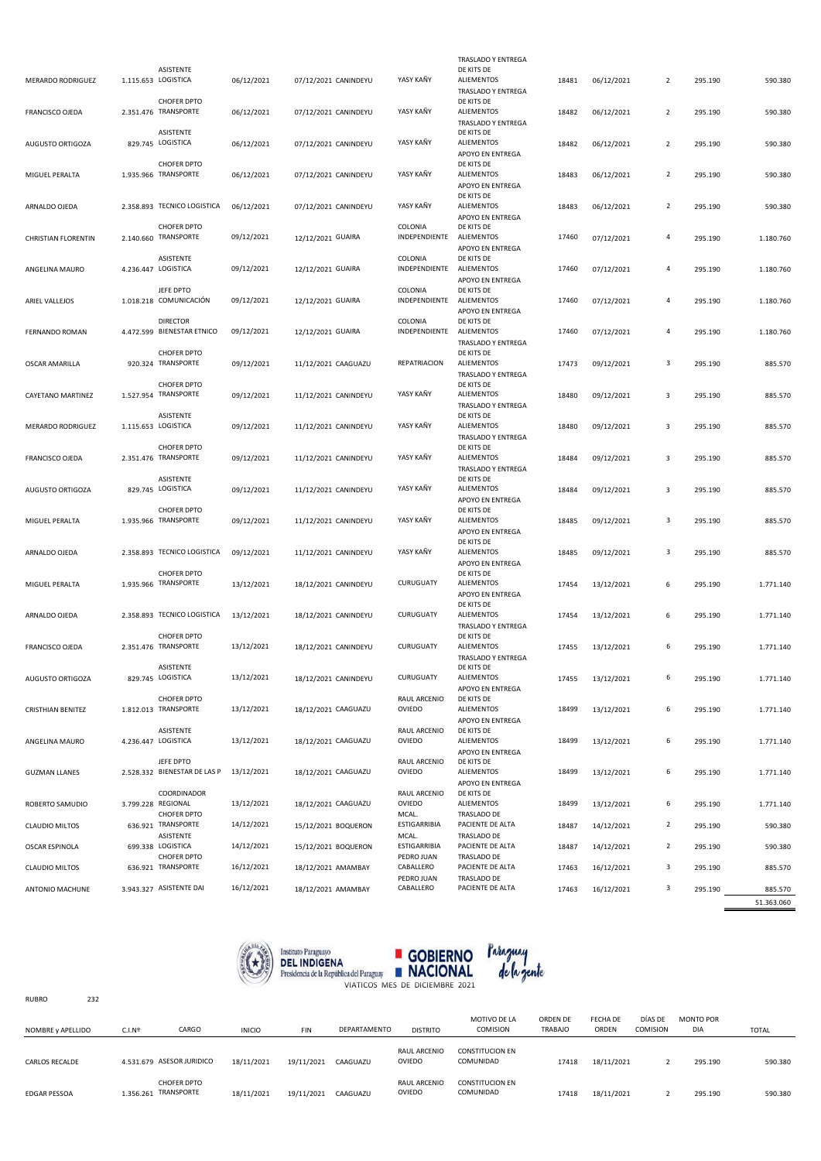| MERARDO RODRIGUEZ          | ASISTENTE<br>1.115.653 LOGISTICA                        | 06/12/2021 | 07/12/2021 CANINDEYU | YASY KAÑY                           | TRASLADO Y ENTREGA<br>DE KITS DE<br><b>ALIEMENTOS</b>            | 18481 | 06/12/2021 | $\overline{2}$ | 295.190 | 590.380               |
|----------------------------|---------------------------------------------------------|------------|----------------------|-------------------------------------|------------------------------------------------------------------|-------|------------|----------------|---------|-----------------------|
|                            | <b>CHOFER DPTO</b>                                      |            |                      |                                     | TRASLADO Y ENTREGA<br>DE KITS DE                                 |       |            |                |         |                       |
| FRANCISCO OJEDA            | 2.351.476 TRANSPORTE                                    | 06/12/2021 | 07/12/2021 CANINDEYU | YASY KAÑY                           | <b>ALIEMENTOS</b><br>TRASLADO Y ENTREGA                          | 18482 | 06/12/2021 | $\overline{2}$ | 295.190 | 590.380               |
| AUGUSTO ORTIGOZA           | ASISTENTE<br>829.745 LOGISTICA                          | 06/12/2021 | 07/12/2021 CANINDEYU | YASY KAÑY                           | DE KITS DE<br><b>ALIEMENTOS</b><br>APOYO EN ENTREGA              | 18482 | 06/12/2021 | $\overline{2}$ | 295.190 | 590.380               |
| MIGUEL PERALTA             | <b>CHOFER DPTO</b><br>1.935.966 TRANSPORTE              | 06/12/2021 | 07/12/2021 CANINDEYU | YASY KAÑY                           | DE KITS DE<br><b>ALIEMENTOS</b><br>APOYO EN ENTREGA              | 18483 | 06/12/2021 | $\overline{2}$ | 295.190 | 590.380               |
| ARNALDO OJEDA              | 2.358.893 TECNICO LOGISTICA                             | 06/12/2021 | 07/12/2021 CANINDEYU | YASY KAÑY                           | DE KITS DE<br><b>ALIEMENTOS</b><br>APOYO EN ENTREGA              | 18483 | 06/12/2021 | $\overline{2}$ | 295.190 | 590.380               |
| <b>CHRISTIAN FLORENTIN</b> | <b>CHOFER DPTO</b><br>2.140.660 TRANSPORTE              | 09/12/2021 | 12/12/2021 GUAIRA    | COLONIA<br>INDEPENDIENTE ALIEMENTOS | DE KITS DE<br>APOYO EN ENTREGA                                   | 17460 | 07/12/2021 | 4              | 295.190 | 1.180.760             |
| ANGELINA MAURO             | ASISTENTE<br>4.236.447 LOGISTICA                        | 09/12/2021 | 12/12/2021 GUAIRA    | COLONIA<br>INDEPENDIENTE ALIEMENTOS | DE KITS DE                                                       | 17460 | 07/12/2021 | 4              | 295.190 | 1.180.760             |
| ARIEL VALLEJOS             | JEFE DPTO<br>1.018.218 COMUNICACIÓN                     | 09/12/2021 | 12/12/2021 GUAIRA    | COLONIA<br>INDEPENDIENTE            | APOYO EN ENTREGA<br>DE KITS DE<br>ALIEMENTOS<br>APOYO EN ENTREGA | 17460 | 07/12/2021 | 4              | 295.190 | 1.180.760             |
| FERNANDO ROMAN             | <b>DIRECTOR</b><br>4.472.599 BIENESTAR ETNICO           | 09/12/2021 | 12/12/2021 GUAIRA    | COLONIA<br>INDEPENDIENTE            | DE KITS DE<br>ALIEMENTOS<br>TRASLADO Y ENTREGA                   | 17460 | 07/12/2021 | 4              | 295.190 | 1.180.760             |
| OSCAR AMARILLA             | CHOFER DPTO<br>920.324 TRANSPORTE                       | 09/12/2021 | 11/12/2021 CAAGUAZU  | REPATRIACION                        | DE KITS DE<br><b>ALIEMENTOS</b><br>TRASLADO Y ENTREGA            | 17473 | 09/12/2021 | 3              | 295.190 | 885.570               |
| CAYETANO MARTINEZ          | <b>CHOFER DPTO</b><br>1.527.954 TRANSPORTE              | 09/12/2021 | 11/12/2021 CANINDEYU | YASY KAÑY                           | DE KITS DE<br><b>ALIEMENTOS</b><br>TRASLADO Y ENTREGA            | 18480 | 09/12/2021 | 3              | 295.190 | 885.570               |
| MERARDO RODRIGUEZ          | ASISTENTE<br>1.115.653 LOGISTICA                        | 09/12/2021 | 11/12/2021 CANINDEYU | YASY KAÑY                           | DE KITS DE<br><b>ALIEMENTOS</b><br>TRASLADO Y ENTREGA            | 18480 | 09/12/2021 | 3              | 295.190 | 885.570               |
| FRANCISCO OJEDA            | <b>CHOFER DPTO</b><br>2.351.476 TRANSPORTE              | 09/12/2021 | 11/12/2021 CANINDEYU | YASY KAÑY                           | DE KITS DE<br><b>ALIEMENTOS</b><br>TRASLADO Y ENTREGA            | 18484 | 09/12/2021 | 3              | 295.190 | 885.570               |
| AUGUSTO ORTIGOZA           | ASISTENTE<br>829.745 LOGISTICA                          | 09/12/2021 | 11/12/2021 CANINDEYU | YASY KAÑY                           | DE KITS DE<br><b>ALIEMENTOS</b><br>APOYO EN ENTREGA              | 18484 | 09/12/2021 | 3              | 295.190 | 885.570               |
| MIGUEL PERALTA             | CHOFER DPTO<br>1.935.966 TRANSPORTE                     | 09/12/2021 | 11/12/2021 CANINDEYU | YASY KAÑY                           | DE KITS DE<br><b>ALIEMENTOS</b><br>APOYO EN ENTREGA              | 18485 | 09/12/2021 | 3              | 295.190 | 885.570               |
| ARNALDO OJEDA              | 2.358.893 TECNICO LOGISTICA                             | 09/12/2021 | 11/12/2021 CANINDEYU | YASY KAÑY                           | DE KITS DE<br><b>ALIEMENTOS</b><br>APOYO EN ENTREGA              | 18485 | 09/12/2021 | 3              | 295.190 | 885.570               |
| MIGUEL PERALTA             | <b>CHOFER DPTO</b><br>1.935.966 TRANSPORTE              | 13/12/2021 | 18/12/2021 CANINDEYU | CURUGUATY                           | DE KITS DE<br><b>ALIEMENTOS</b><br>APOYO EN ENTREGA              | 17454 | 13/12/2021 | 6              | 295.190 | 1.771.140             |
| ARNALDO OJEDA              | 2.358.893 TECNICO LOGISTICA                             | 13/12/2021 | 18/12/2021 CANINDEYU | CURUGUATY                           | DE KITS DE<br><b>ALIEMENTOS</b><br>TRASLADO Y ENTREGA            | 17454 | 13/12/2021 | 6              | 295.190 | 1.771.140             |
| FRANCISCO OJEDA            | <b>CHOFER DPTO</b><br>2.351.476 TRANSPORTE              | 13/12/2021 | 18/12/2021 CANINDEYU | CURUGUATY                           | DE KITS DE<br><b>ALIEMENTOS</b><br>TRASLADO Y ENTREGA            | 17455 | 13/12/2021 | 6              | 295.190 | 1.771.140             |
| AUGUSTO ORTIGOZA           | ASISTENTE<br>829.745 LOGISTICA                          | 13/12/2021 | 18/12/2021 CANINDEYU | CURUGUATY                           | DE KITS DE<br>ALIEMENTOS<br>APOYO EN ENTREGA                     | 17455 | 13/12/2021 | 6              | 295.190 | 1.771.140             |
| <b>CRISTHIAN BENITEZ</b>   | <b>CHOFER DPTO</b><br>1.812.013 TRANSPORTE              | 13/12/2021 | 18/12/2021 CAAGUAZU  | RAUL ARCENIO<br>OVIEDO              | DE KITS DE<br>ALIEMENTOS<br>APOYO EN ENTREGA                     | 18499 | 13/12/2021 | 6              | 295.190 | 1.771.140             |
| ANGELINA MAURO             | ASISTENTE<br>4.236.447 LOGISTICA                        | 13/12/2021 | 18/12/2021 CAAGUAZU  | RAUL ARCENIO<br>OVIEDO              | DE KITS DE<br><b>ALIEMENTOS</b><br>APOYO EN ENTREGA              | 18499 | 13/12/2021 | 6              | 295.190 | 1.771.140             |
| <b>GUZMAN LLANES</b>       | JEFE DPTO<br>2.528.332 BIENESTAR DE LAS P               | 13/12/2021 | 18/12/2021 CAAGUAZU  | RAUL ARCENIO<br>OVIEDO              | DE KITS DE<br><b>ALIEMENTOS</b><br>APOYO EN ENTREGA              | 18499 | 13/12/2021 | 6              | 295.190 | 1.771.140             |
| ROBERTO SAMUDIO            | COORDINADOR<br>3.799.228 REGIONAL<br><b>CHOFER DPTO</b> | 13/12/2021 | 18/12/2021 CAAGUAZU  | RAUL ARCENIO<br>OVIEDO<br>MCAL.     | DE KITS DE<br><b>ALIEMENTOS</b><br>TRASLADO DE                   | 18499 | 13/12/2021 | 6              | 295.190 | 1.771.140             |
| <b>CLAUDIO MILTOS</b>      | 636.921 TRANSPORTE<br>ASISTENTE                         | 14/12/2021 | 15/12/2021 BOQUERON  | ESTIGARRIBIA<br>MCAL.               | PACIENTE DE ALTA<br>TRASLADO DE                                  | 18487 | 14/12/2021 | $\overline{2}$ | 295.190 | 590.380               |
| OSCAR ESPINOLA             | 699.338 LOGISTICA<br>CHOFER DPTO                        | 14/12/2021 | 15/12/2021 BOQUERON  | ESTIGARRIBIA<br>PEDRO JUAN          | PACIENTE DE ALTA<br>TRASLADO DE                                  | 18487 | 14/12/2021 | $\overline{2}$ | 295.190 | 590.380               |
| <b>CLAUDIO MILTOS</b>      | 636.921 TRANSPORTE                                      | 16/12/2021 | 18/12/2021 AMAMBAY   | CABALLERO<br>PEDRO JUAN             | PACIENTE DE ALTA<br>TRASLADO DE                                  | 17463 | 16/12/2021 | 3              | 295.190 | 885.570               |
| ANTONIO MACHUNE            | 3.943.327 ASISTENTE DAI                                 | 16/12/2021 | 18/12/2021 AMAMBAY   | CABALLERO                           | PACIENTE DE ALTA                                                 | 17463 | 16/12/2021 | 3              | 295.190 | 885.570<br>51.363.060 |



| <b>RUBRO</b>          | 232 |                    |                                            |               |            |              |                        |                                     |                            |                   |                     |                                |              |
|-----------------------|-----|--------------------|--------------------------------------------|---------------|------------|--------------|------------------------|-------------------------------------|----------------------------|-------------------|---------------------|--------------------------------|--------------|
| NOMBRE y APELLIDO     |     | C.I.N <sup>2</sup> | CARGO                                      | <b>INICIO</b> | <b>FIN</b> | DEPARTAMENTO | <b>DISTRITO</b>        | MOTIVO DE LA<br><b>COMISION</b>     | ORDEN DE<br><b>TRABAJO</b> | FECHA DE<br>ORDEN | DÍAS DE<br>COMISION | <b>MONTO POR</b><br><b>DIA</b> | <b>TOTAL</b> |
| <b>CARLOS RECALDE</b> |     |                    | 4.531.679 ASESOR JURIDICO                  | 18/11/2021    | 19/11/2021 | CAAGUAZU     | RAUL ARCENIO<br>OVIEDO | <b>CONSTITUCION EN</b><br>COMUNIDAD | 17418                      | 18/11/2021        | ∠                   | 295.190                        | 590.380      |
| <b>EDGAR PESSOA</b>   |     |                    | <b>CHOFER DPTO</b><br>1.356.261 TRANSPORTE | 18/11/2021    | 19/11/2021 | CAAGUAZU     | RAUL ARCENIO<br>OVIEDO | <b>CONSTITUCION EN</b><br>COMUNIDAD | 17418                      | 18/11/2021        |                     | 295.190                        | 590.380      |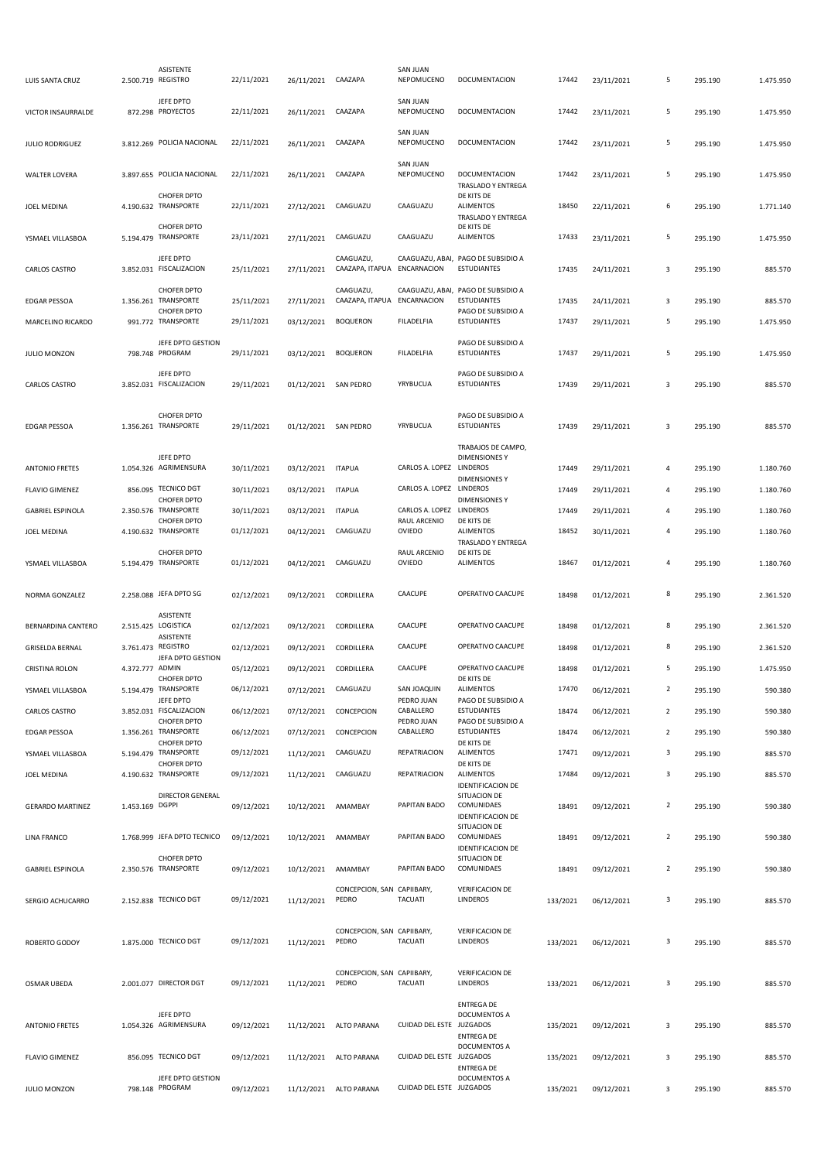| LUIS SANTA CRUZ         |                 | ASISTENTE<br>2.500.719 REGISTRO                                  | 22/11/2021 | 26/11/2021            | CAAZAPA                             | <b>SAN JUAN</b><br>NEPOMUCENO | DOCUMENTACION                                                                  | 17442    | 23/11/2021 | 5                       | 295.190 | 1.475.950 |
|-------------------------|-----------------|------------------------------------------------------------------|------------|-----------------------|-------------------------------------|-------------------------------|--------------------------------------------------------------------------------|----------|------------|-------------------------|---------|-----------|
| VICTOR INSAURRALDE      |                 | JEFE DPTO<br>872.298 PROYECTOS                                   | 22/11/2021 | 26/11/2021 CAAZAPA    |                                     | <b>SAN JUAN</b><br>NEPOMUCENO | DOCUMENTACION                                                                  | 17442    | 23/11/2021 | 5                       | 295.190 | 1.475.950 |
| <b>JULIO RODRIGUEZ</b>  |                 | 3.812.269 POLICIA NACIONAL                                       | 22/11/2021 | 26/11/2021 CAAZAPA    |                                     | <b>SAN JUAN</b><br>NEPOMUCENO | DOCUMENTACION                                                                  | 17442    | 23/11/2021 | 5                       | 295.190 | 1.475.950 |
| <b>WALTER LOVERA</b>    |                 | 3.897.655 POLICIA NACIONAL                                       | 22/11/2021 | 26/11/2021            | CAAZAPA                             | <b>SAN JUAN</b><br>NEPOMUCENO | <b>DOCUMENTACION</b><br>TRASLADO Y ENTREGA                                     | 17442    | 23/11/2021 | 5                       | 295.190 | 1.475.950 |
| JOEL MEDINA             |                 | <b>CHOFER DPTO</b><br>4.190.632 TRANSPORTE                       | 22/11/2021 | 27/12/2021            | CAAGUAZU                            | CAAGUAZU                      | DE KITS DE<br><b>ALIMENTOS</b><br>TRASLADO Y ENTREGA                           | 18450    | 22/11/2021 | 6                       | 295.190 | 1.771.140 |
| YSMAEL VILLASBOA        |                 | <b>CHOFER DPTO</b><br>5.194.479 TRANSPORTE                       | 23/11/2021 | 27/11/2021            | CAAGUAZU                            | CAAGUAZU                      | DE KITS DE<br><b>ALIMENTOS</b>                                                 | 17433    | 23/11/2021 | 5                       | 295.190 | 1.475.950 |
| CARLOS CASTRO           |                 | JEFE DPTO<br>3.852.031 FISCALIZACION                             | 25/11/2021 | 27/11/2021            | CAAGUAZU,<br>CAAZAPA, ITAPUA        | ENCARNACION                   | CAAGUAZU, ABAI, PAGO DE SUBSIDIO A<br><b>ESTUDIANTES</b>                       | 17435    | 24/11/2021 | 3                       | 295.190 | 885.570   |
| <b>EDGAR PESSOA</b>     |                 | <b>CHOFER DPTO</b><br>1.356.261 TRANSPORTE<br><b>CHOFER DPTO</b> | 25/11/2021 | 27/11/2021            | CAAGUAZU,<br>CAAZAPA, ITAPUA        | ENCARNACION                   | CAAGUAZU, ABAI, PAGO DE SUBSIDIO A<br><b>ESTUDIANTES</b><br>PAGO DE SUBSIDIO A | 17435    | 24/11/2021 | 3                       | 295.190 | 885.570   |
| MARCELINO RICARDO       |                 | 991.772 TRANSPORTE                                               | 29/11/2021 | 03/12/2021            | <b>BOQUERON</b>                     | FILADELFIA                    | <b>ESTUDIANTES</b>                                                             | 17437    | 29/11/2021 | 5                       | 295.190 | 1.475.950 |
| JULIO MONZON            |                 | JEFE DPTO GESTION<br>798.748 PROGRAM                             | 29/11/2021 | 03/12/2021            | <b>BOQUERON</b>                     | FILADELFIA                    | PAGO DE SUBSIDIO A<br><b>ESTUDIANTES</b>                                       | 17437    | 29/11/2021 | 5                       | 295.190 | 1.475.950 |
| CARLOS CASTRO           |                 | JEFE DPTO<br>3.852.031 FISCALIZACION                             | 29/11/2021 | 01/12/2021            | <b>SAN PEDRO</b>                    | YRYBUCUA                      | PAGO DE SUBSIDIO A<br><b>ESTUDIANTES</b>                                       | 17439    | 29/11/2021 | 3                       | 295.190 | 885.570   |
| <b>EDGAR PESSOA</b>     |                 | <b>CHOFER DPTO</b><br>1.356.261 TRANSPORTE                       | 29/11/2021 | 01/12/2021 SAN PEDRO  |                                     | YRYBUCUA                      | PAGO DE SUBSIDIO A<br><b>ESTUDIANTES</b>                                       | 17439    | 29/11/2021 | 3                       | 295.190 | 885.570   |
| <b>ANTONIO FRETES</b>   |                 | JEFE DPTO<br>1.054.326 AGRIMENSURA                               | 30/11/2021 | 03/12/2021            | <b>ITAPUA</b>                       | CARLOS A. LOPEZ LINDEROS      | TRABAJOS DE CAMPO,<br><b>DIMENSIONES Y</b>                                     | 17449    | 29/11/2021 | 4                       | 295.190 | 1.180.760 |
| <b>FLAVIO GIMENEZ</b>   |                 | 856.095 TECNICO DGT                                              | 30/11/2021 | 03/12/2021 ITAPUA     |                                     | CARLOS A. LOPEZ LINDEROS      | <b>DIMENSIONES Y</b>                                                           | 17449    | 29/11/2021 | 4                       | 295.190 | 1.180.760 |
| <b>GABRIEL ESPINOLA</b> |                 | <b>CHOFER DPTO</b><br>2.350.576 TRANSPORTE                       | 30/11/2021 | 03/12/2021            | <b>ITAPUA</b>                       | CARLOS A. LOPEZ LINDEROS      | <b>DIMENSIONES Y</b>                                                           | 17449    | 29/11/2021 | 4                       | 295.190 | 1.180.760 |
|                         |                 | <b>CHOFER DPTO</b>                                               |            |                       | CAAGUAZU                            | RAUL ARCENIO<br><b>OVIEDO</b> | DE KITS DE<br><b>ALIMENTOS</b>                                                 | 18452    |            | $\overline{a}$          |         |           |
| <b>JOEL MEDINA</b>      |                 | 4.190.632 TRANSPORTE                                             | 01/12/2021 | 04/12/2021            |                                     |                               | TRASLADO Y ENTREGA                                                             |          | 30/11/2021 |                         | 295.190 | 1.180.760 |
| YSMAEL VILLASBOA        |                 | <b>CHOFER DPTO</b><br>5.194.479 TRANSPORTE                       | 01/12/2021 | 04/12/2021            | CAAGUAZU                            | RAUL ARCENIO<br>OVIEDO        | DE KITS DE<br><b>ALIMENTOS</b>                                                 | 18467    | 01/12/2021 | 4                       | 295.190 | 1.180.760 |
| NORMA GONZALEZ          |                 | 2.258.088 JEFA DPTO SG                                           | 02/12/2021 | 09/12/2021            | CORDILLERA                          | CAACUPE                       | OPERATIVO CAACUPE                                                              | 18498    | 01/12/2021 | 8                       | 295.190 | 2.361.520 |
| BERNARDINA CANTERO      |                 | ASISTENTE<br>2.515.425 LOGISTICA<br>ASISTENTE                    | 02/12/2021 | 09/12/2021            | CORDILLERA                          | CAACUPE                       | OPERATIVO CAACUPE                                                              | 18498    | 01/12/2021 | 8                       | 295.190 | 2.361.520 |
| <b>GRISELDA BERNAL</b>  |                 | 3.761.473 REGISTRO<br>JEFA DPTO GESTION                          | 02/12/2021 | 09/12/2021            | CORDILLERA                          | CAACUPE                       | OPERATIVO CAACUPE                                                              | 18498    | 01/12/2021 | 8                       | 295.190 | 2.361.520 |
| <b>CRISTINA ROLON</b>   | 4.372.777 ADMIN |                                                                  | 05/12/2021 | 09/12/2021 CORDILLERA |                                     | CAACUPE                       | OPERATIVO CAACUPE                                                              | 18498    | 01/12/2021 | 5                       | 295.190 | 1.475.950 |
| YSMAEL VILLASBOA        |                 | <b>CHOFER DPTO</b><br>5.194.479 TRANSPORTE                       | 06/12/2021 | 07/12/2021 CAAGUAZU   |                                     | SAN JOAQUIN                   | DE KITS DE<br><b>ALIMENTOS</b>                                                 | 17470    | 06/12/2021 | $\overline{2}$          | 295.190 | 590.380   |
| CARLOS CASTRO           |                 | JEFE DPTO<br>3.852.031 FISCALIZACION                             | 06/12/2021 | 07/12/2021 CONCEPCION |                                     | PEDRO JUAN<br>CABALLERO       | PAGO DE SUBSIDIO A<br><b>ESTUDIANTES</b>                                       | 18474    | 06/12/2021 | $\overline{2}$          | 295.190 | 590.380   |
| EDGAR PESSOA            |                 | <b>CHOFER DPTO</b><br>1.356.261 TRANSPORTE                       | 06/12/2021 | 07/12/2021            | CONCEPCION                          | PEDRO JUAN<br>CABALLERO       | PAGO DE SUBSIDIO A<br><b>ESTUDIANTES</b>                                       | 18474    | 06/12/2021 | $\overline{2}$          | 295.190 | 590.380   |
| YSMAEL VILLASBOA        |                 | <b>CHOFER DPTO</b><br>5.194.479 TRANSPORTE                       | 09/12/2021 | 11/12/2021            | CAAGUAZU                            | <b>REPATRIACION</b>           | DE KITS DE<br><b>ALIMENTOS</b>                                                 | 17471    | 09/12/2021 | 3                       | 295.190 | 885.570   |
| JOEL MEDINA             |                 | <b>CHOFER DPTO</b><br>4.190.632 TRANSPORTE                       | 09/12/2021 | 11/12/2021 CAAGUAZU   |                                     | REPATRIACION                  | DE KITS DE<br><b>ALIMENTOS</b>                                                 | 17484    | 09/12/2021 | $\overline{\mathbf{3}}$ | 295.190 | 885.570   |
|                         |                 | <b>DIRECTOR GENERAL</b>                                          |            |                       |                                     |                               | <b>IDENTIFICACION DE</b><br>SITUACION DE                                       |          |            |                         |         |           |
| <b>GERARDO MARTINEZ</b> | 1.453.169 DGPPI |                                                                  | 09/12/2021 | 10/12/2021 AMAMBAY    |                                     | PAPITAN BADO                  | COMUNIDAES<br><b>IDENTIFICACION DE</b><br>SITUACION DE                         | 18491    | 09/12/2021 | $\overline{2}$          | 295.190 | 590.380   |
| <b>LINA FRANCO</b>      |                 | 1.768.999 JEFA DPTO TECNICO<br><b>CHOFER DPTO</b>                | 09/12/2021 | 10/12/2021 AMAMBAY    |                                     | PAPITAN BADO                  | COMUNIDAES<br><b>IDENTIFICACION DE</b><br>SITUACION DE                         | 18491    | 09/12/2021 | $\overline{2}$          | 295.190 | 590.380   |
| <b>GABRIEL ESPINOLA</b> |                 | 2.350.576 TRANSPORTE                                             | 09/12/2021 | 10/12/2021            | AMAMBAY                             | PAPITAN BADO                  | COMUNIDAES                                                                     | 18491    | 09/12/2021 | $\overline{2}$          | 295.190 | 590.380   |
| SERGIO ACHUCARRO        |                 | 2.152.838 TECNICO DGT                                            | 09/12/2021 | 11/12/2021            | CONCEPCION, SAN CAPIIBARY,<br>PEDRO | <b>TACUATI</b>                | <b>VERIFICACION DE</b><br><b>LINDEROS</b>                                      | 133/2021 | 06/12/2021 | 3                       | 295.190 | 885.570   |
| ROBERTO GODOY           |                 | 1.875.000 TECNICO DGT                                            | 09/12/2021 | 11/12/2021            | CONCEPCION, SAN CAPIIBARY,<br>PEDRO | <b>TACUATI</b>                | <b>VERIFICACION DE</b><br>LINDEROS                                             | 133/2021 | 06/12/2021 | 3                       | 295.190 | 885.570   |
| OSMAR UBEDA             |                 | 2.001.077 DIRECTOR DGT                                           | 09/12/2021 | 11/12/2021            | CONCEPCION, SAN CAPIIBARY,<br>PEDRO | <b>TACUATI</b>                | <b>VERIFICACION DE</b><br><b>LINDEROS</b>                                      | 133/2021 | 06/12/2021 | $\overline{\mathbf{3}}$ | 295.190 | 885.570   |
| <b>ANTONIO FRETES</b>   |                 | JEFE DPTO<br>1.054.326 AGRIMENSURA                               | 09/12/2021 | 11/12/2021            | ALTO PARANA                         | CUIDAD DEL ESTE JUZGADOS      | <b>ENTREGA DE</b><br>DOCUMENTOS A<br><b>ENTREGA DE</b>                         | 135/2021 | 09/12/2021 | 3                       | 295.190 | 885.570   |
| <b>FLAVIO GIMENEZ</b>   |                 | 856.095 TECNICO DGT                                              | 09/12/2021 |                       | 11/12/2021 ALTO PARANA              | CUIDAD DEL ESTE JUZGADOS      | DOCUMENTOS A<br><b>ENTREGA DE</b>                                              | 135/2021 | 09/12/2021 | 3                       | 295.190 | 885.570   |
| JULIO MONZON            |                 | JEFE DPTO GESTION<br>798.148 PROGRAM                             | 09/12/2021 |                       | 11/12/2021 ALTO PARANA              | CUIDAD DEL ESTE JUZGADOS      | DOCUMENTOS A                                                                   | 135/2021 | 09/12/2021 | 3                       | 295.190 | 885.570   |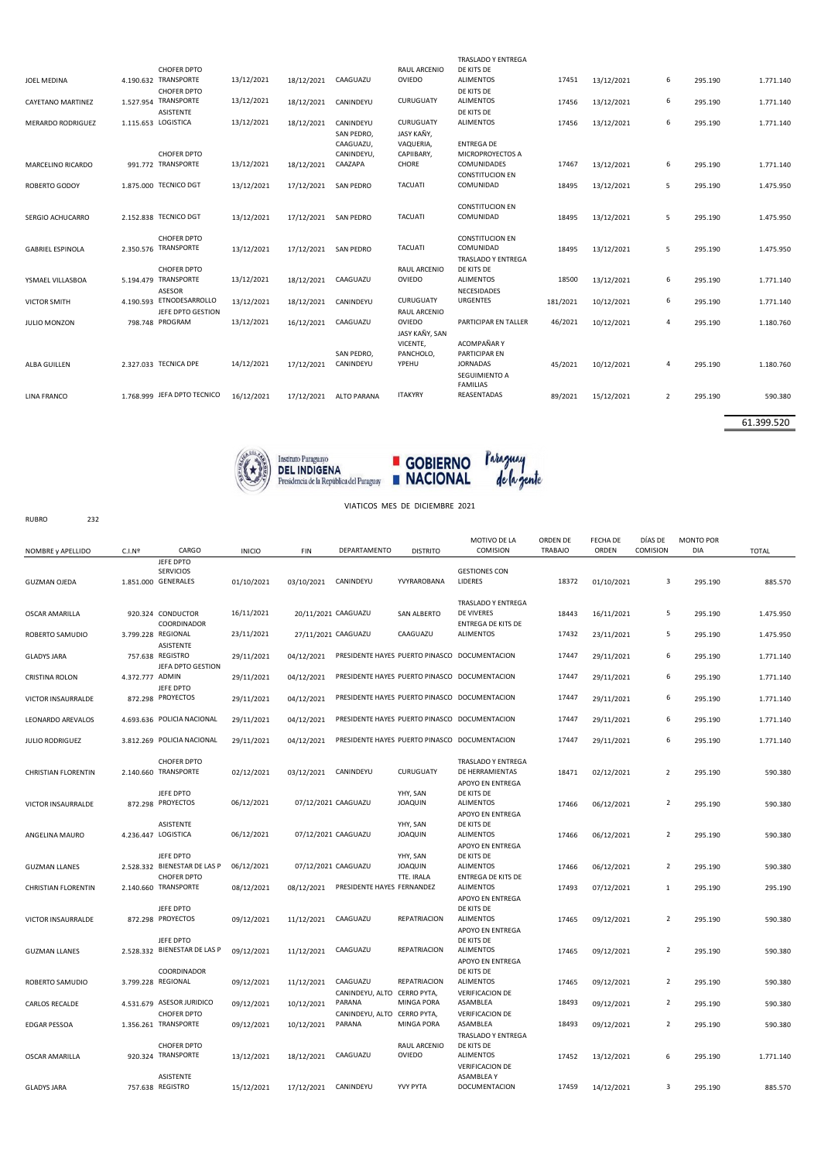|                          |                     | <b>CHOFER DPTO</b>          |            |            |                    | <b>RAUL ARCENIO</b> | <b>TRASLADO Y ENTREGA</b><br>DE KITS DE |          |            |                |         |           |
|--------------------------|---------------------|-----------------------------|------------|------------|--------------------|---------------------|-----------------------------------------|----------|------------|----------------|---------|-----------|
| JOEL MEDINA              |                     | 4.190.632 TRANSPORTE        | 13/12/2021 | 18/12/2021 | CAAGUAZU           | OVIEDO              | <b>ALIMENTOS</b>                        | 17451    | 13/12/2021 | 6              | 295.190 | 1.771.140 |
|                          |                     | <b>CHOFER DPTO</b>          |            |            |                    |                     | DE KITS DE                              |          |            |                |         |           |
| CAYETANO MARTINEZ        |                     | 1.527.954 TRANSPORTE        | 13/12/2021 | 18/12/2021 | CANINDEYU          | CURUGUATY           | <b>ALIMENTOS</b>                        | 17456    | 13/12/2021 | 6              | 295.190 | 1.771.140 |
|                          |                     | <b>ASISTENTE</b>            |            |            |                    |                     | DE KITS DE                              |          |            |                |         |           |
| <b>MERARDO RODRIGUEZ</b> | 1.115.653 LOGISTICA |                             | 13/12/2021 | 18/12/2021 | CANINDEYU          | CURUGUATY           | <b>ALIMENTOS</b>                        | 17456    | 13/12/2021 | 6              | 295.190 | 1.771.140 |
|                          |                     |                             |            |            | SAN PEDRO.         | JASY KAÑY.          |                                         |          |            |                |         |           |
|                          |                     |                             |            |            | CAAGUAZU.          | VAQUERIA,           | <b>ENTREGA DE</b>                       |          |            |                |         |           |
|                          |                     | <b>CHOFER DPTO</b>          |            |            | CANINDEYU,         | CAPIIBARY,          | MICROPROYECTOS A                        |          |            |                |         |           |
| MARCELINO RICARDO        |                     | 991.772 TRANSPORTE          | 13/12/2021 | 18/12/2021 | CAAZAPA            | CHORE               | COMUNIDADES                             | 17467    | 13/12/2021 | 6              | 295.190 | 1.771.140 |
|                          |                     |                             |            |            |                    |                     | <b>CONSTITUCION EN</b>                  |          |            |                |         |           |
| <b>ROBERTO GODOY</b>     |                     | 1.875.000 TECNICO DGT       | 13/12/2021 | 17/12/2021 | <b>SAN PEDRO</b>   | <b>TACUATI</b>      | COMUNIDAD                               | 18495    | 13/12/2021 | 5              | 295.190 | 1.475.950 |
|                          |                     |                             |            |            |                    |                     |                                         |          |            |                |         |           |
|                          |                     |                             |            |            |                    |                     | <b>CONSTITUCION EN</b>                  |          |            |                |         |           |
| SERGIO ACHUCARRO         |                     | 2.152.838 TECNICO DGT       | 13/12/2021 | 17/12/2021 | <b>SAN PEDRO</b>   | <b>TACUATI</b>      | COMUNIDAD                               | 18495    | 13/12/2021 | 5              | 295.190 | 1.475.950 |
|                          |                     | <b>CHOFER DPTO</b>          |            |            |                    |                     | <b>CONSTITUCION EN</b>                  |          |            |                |         |           |
| <b>GABRIEL ESPINOLA</b>  |                     | 2.350.576 TRANSPORTE        | 13/12/2021 | 17/12/2021 | <b>SAN PEDRO</b>   | <b>TACUATI</b>      | COMUNIDAD                               | 18495    | 13/12/2021 | 5              | 295.190 | 1.475.950 |
|                          |                     |                             |            |            |                    |                     | TRASLADO Y ENTREGA                      |          |            |                |         |           |
|                          |                     | <b>CHOFER DPTO</b>          |            |            |                    | <b>RAUL ARCENIO</b> | DE KITS DE                              |          |            |                |         |           |
| YSMAEL VILLASBOA         |                     | 5.194.479 TRANSPORTE        | 13/12/2021 | 18/12/2021 | CAAGUAZU           | OVIEDO              | <b>ALIMENTOS</b>                        | 18500    | 13/12/2021 | 6              | 295.190 | 1.771.140 |
|                          |                     | ASESOR                      |            |            |                    |                     | NECESIDADES                             |          |            |                |         |           |
| <b>VICTOR SMITH</b>      |                     | 4.190.593 ETNODESARROLLO    | 13/12/2021 | 18/12/2021 | CANINDEYU          | CURUGUATY           | <b>URGENTES</b>                         | 181/2021 | 10/12/2021 | 6              | 295.190 | 1.771.140 |
|                          |                     | JEFE DPTO GESTION           |            |            |                    | <b>RAUL ARCENIO</b> |                                         |          |            |                |         |           |
| JULIO MONZON             |                     | 798.748 PROGRAM             | 13/12/2021 | 16/12/2021 | CAAGUAZU           | OVIEDO              | PARTICIPAR EN TALLER                    | 46/2021  | 10/12/2021 | 4              | 295.190 | 1.180.760 |
|                          |                     |                             |            |            |                    | JASY KAÑY, SAN      |                                         |          |            |                |         |           |
|                          |                     |                             |            |            |                    | VICENTE.            | ACOMPAÑAR Y                             |          |            |                |         |           |
|                          |                     |                             |            |            | SAN PEDRO.         | PANCHOLO,           | <b>PARTICIPAREN</b>                     |          |            |                |         |           |
| ALBA GUILLEN             |                     | 2.327.033 TECNICA DPE       | 14/12/2021 | 17/12/2021 | CANINDEYU          | YPEHU               | <b>JORNADAS</b>                         | 45/2021  | 10/12/2021 | 4              | 295.190 | 1.180.760 |
|                          |                     |                             |            |            |                    |                     | SEGUIMIENTO A                           |          |            |                |         |           |
|                          |                     |                             |            |            |                    |                     | FAMILIAS                                |          |            |                |         |           |
| <b>LINA FRANCO</b>       |                     | 1.768.999 JEFA DPTO TECNICO | 16/12/2021 | 17/12/2021 | <b>ALTO PARANA</b> | <b>ITAKYRY</b>      | REASENTADAS                             | 89/2021  | 15/12/2021 | $\overline{2}$ | 295.190 | 590.380   |
|                          |                     |                             |            |            |                    |                     |                                         |          |            |                |         |           |

VIATICOS MES DE DICIEMBRE 2021

61.399.520





RUBRO 232

| NOMBRE y APELLIDO          | C.I.N <sup>2</sup> | CARGO                                                           | <b>INICIO</b> | <b>FIN</b>           | DEPARTAMENTO                            | <b>DISTRITO</b>                          | MOTIVO DE LA<br>COMISION                                             | ORDEN DE<br><b>TRABAJO</b> | FECHA DE<br>ORDEN | DÍAS DE<br>COMISION | <b>MONTO POR</b><br>DIA | <b>TOTAL</b> |
|----------------------------|--------------------|-----------------------------------------------------------------|---------------|----------------------|-----------------------------------------|------------------------------------------|----------------------------------------------------------------------|----------------------------|-------------------|---------------------|-------------------------|--------------|
|                            |                    | JEFE DPTO                                                       |               |                      |                                         |                                          |                                                                      |                            |                   |                     |                         |              |
| <b>GUZMAN OJEDA</b>        |                    | <b>SERVICIOS</b><br>1.851.000 GENERALES                         | 01/10/2021    | 03/10/2021 CANINDEYU |                                         | YVYRAROBANA                              | <b>GESTIONES CON</b><br><b>LIDERES</b>                               | 18372                      | 01/10/2021        | 3                   | 295.190                 | 885.570      |
| <b>OSCAR AMARILLA</b>      |                    | 920.324 CONDUCTOR<br><b>COORDINADOR</b>                         | 16/11/2021    | 20/11/2021 CAAGUAZU  |                                         | <b>SAN ALBERTO</b>                       | TRASLADO Y ENTREGA<br><b>DE VIVERES</b><br><b>ENTREGA DE KITS DE</b> | 18443                      | 16/11/2021        | 5                   | 295.190                 | 1.475.950    |
| ROBERTO SAMUDIO            |                    | 3.799.228 REGIONAL<br><b>ASISTENTE</b>                          | 23/11/2021    | 27/11/2021 CAAGUAZU  |                                         | CAAGUAZU                                 | <b>ALIMENTOS</b>                                                     | 17432                      | 23/11/2021        | 5                   | 295.190                 | 1.475.950    |
| <b>GLADYS JARA</b>         |                    | 757.638 REGISTRO<br>JEFA DPTO GESTION                           | 29/11/2021    | 04/12/2021           |                                         |                                          | PRESIDENTE HAYES PUERTO PINASCO DOCUMENTACION                        | 17447                      | 29/11/2021        | 6                   | 295.190                 | 1.771.140    |
| <b>CRISTINA ROLON</b>      | 4.372.777 ADMIN    | JEFE DPTO                                                       | 29/11/2021    | 04/12/2021           |                                         |                                          | PRESIDENTE HAYES PUERTO PINASCO DOCUMENTACION                        | 17447                      | 29/11/2021        | 6                   | 295.190                 | 1.771.140    |
| VICTOR INSAURRALDE         |                    | 872.298 PROYECTOS                                               | 29/11/2021    | 04/12/2021           |                                         |                                          | PRESIDENTE HAYES PUERTO PINASCO DOCUMENTACION                        | 17447                      | 29/11/2021        | 6                   | 295.190                 | 1.771.140    |
| LEONARDO AREVALOS          |                    | 4.693.636 POLICIA NACIONAL                                      | 29/11/2021    | 04/12/2021           |                                         |                                          | PRESIDENTE HAYES PUERTO PINASCO DOCUMENTACION                        | 17447                      | 29/11/2021        | 6                   | 295.190                 | 1.771.140    |
| <b>JULIO RODRIGUEZ</b>     |                    | 3.812.269 POLICIA NACIONAL                                      | 29/11/2021    | 04/12/2021           |                                         |                                          | PRESIDENTE HAYES PUERTO PINASCO DOCUMENTACION                        | 17447                      | 29/11/2021        | 6                   | 295.190                 | 1.771.140    |
| <b>CHRISTIAN FLORENTIN</b> |                    | CHOFER DPTO<br>2.140.660 TRANSPORTE                             | 02/12/2021    | 03/12/2021           | CANINDEYU                               | CURUGUATY                                | TRASLADO Y ENTREGA<br>DE HERRAMIENTAS<br>APOYO EN ENTREGA            | 18471                      | 02/12/2021        | $\overline{2}$      | 295.190                 | 590.380      |
| VICTOR INSAURRALDE         |                    | JEFE DPTO<br>872.298 PROYECTOS                                  | 06/12/2021    | 07/12/2021 CAAGUAZU  |                                         | YHY, SAN<br><b>JOAQUIN</b>               | DE KITS DE<br><b>ALIMENTOS</b><br>APOYO EN ENTREGA                   | 17466                      | 06/12/2021        | $\overline{2}$      | 295.190                 | 590.380      |
| ANGELINA MAURO             |                    | <b>ASISTENTE</b><br>4.236.447 LOGISTICA                         | 06/12/2021    | 07/12/2021 CAAGUAZU  |                                         | YHY, SAN<br><b>JOAQUIN</b>               | DE KITS DE<br><b>ALIMENTOS</b><br>APOYO EN ENTREGA                   | 17466                      | 06/12/2021        | $\overline{2}$      | 295.190                 | 590.380      |
| <b>GUZMAN LLANES</b>       |                    | JEFE DPTO<br>2.528.332 BIENESTAR DE LAS P<br><b>CHOFER DPTO</b> | 06/12/2021    | 07/12/2021 CAAGUAZU  |                                         | YHY, SAN<br><b>JOAQUIN</b><br>TTE, IRALA | DE KITS DE<br><b>ALIMENTOS</b><br><b>ENTREGA DE KITS DE</b>          | 17466                      | 06/12/2021        | $\overline{2}$      | 295.190                 | 590.380      |
| <b>CHRISTIAN FLORENTIN</b> |                    | 2.140.660 TRANSPORTE                                            | 08/12/2021    | 08/12/2021           | PRESIDENTE HAYES FERNANDEZ              |                                          | <b>ALIMENTOS</b><br>APOYO EN ENTREGA                                 | 17493                      | 07/12/2021        | $\mathbf{1}$        | 295.190                 | 295.190      |
| VICTOR INSAURRALDE         |                    | JEFE DPTO<br>872.298 PROYECTOS                                  | 09/12/2021    | 11/12/2021           | CAAGUAZU                                | <b>REPATRIACION</b>                      | DE KITS DE<br><b>ALIMENTOS</b><br><b>APOYO EN ENTREGA</b>            | 17465                      | 09/12/2021        | $\overline{2}$      | 295.190                 | 590.380      |
| <b>GUZMAN LLANES</b>       |                    | JEFE DPTO<br>2.528.332 BIENESTAR DE LAS P                       | 09/12/2021    | 11/12/2021           | CAAGUAZU                                | REPATRIACION                             | DE KITS DE<br><b>ALIMENTOS</b><br>APOYO EN ENTREGA                   | 17465                      | 09/12/2021        | $\overline{2}$      | 295.190                 | 590.380      |
|                            |                    | COORDINADOR                                                     |               |                      |                                         |                                          | DE KITS DE                                                           |                            |                   |                     |                         |              |
| ROBERTO SAMUDIO            |                    | 3.799.228 REGIONAL                                              | 09/12/2021    | 11/12/2021           | CAAGUAZU<br>CANINDEYU, ALTO CERRO PYTA, | <b>REPATRIACION</b>                      | <b>ALIMENTOS</b><br><b>VERIFICACION DE</b>                           | 17465                      | 09/12/2021        | $\overline{2}$      | 295.190                 | 590.380      |
| <b>CARLOS RECALDE</b>      |                    | 4.531.679 ASESOR JURIDICO<br>CHOFER DPTO                        | 09/12/2021    | 10/12/2021           | PARANA<br>CANINDEYU, ALTO CERRO PYTA,   | <b>MINGA PORA</b>                        | ASAMBLEA<br><b>VERIFICACION DE</b>                                   | 18493                      | 09/12/2021        | $\overline{2}$      | 295.190                 | 590.380      |
| <b>EDGAR PESSOA</b>        |                    | 1.356.261 TRANSPORTE                                            | 09/12/2021    | 10/12/2021           | PARANA                                  | MINGA PORA                               | ASAMBLEA<br>TRASLADO Y ENTREGA                                       | 18493                      | 09/12/2021        | $\overline{2}$      | 295.190                 | 590.380      |
| OSCAR AMARILLA             |                    | <b>CHOFER DPTO</b><br>920.324 TRANSPORTE<br><b>ASISTENTE</b>    | 13/12/2021    | 18/12/2021           | CAAGUAZU                                | RAUL ARCENIO<br><b>OVIEDO</b>            | DE KITS DE<br><b>ALIMENTOS</b><br><b>VERIFICACION DE</b>             | 17452                      | 13/12/2021        | 6                   | 295.190                 | 1.771.140    |
| <b>GLADYS JARA</b>         |                    | 757.638 REGISTRO                                                | 15/12/2021    | 17/12/2021           | CANINDEYU                               | <b>YVY PYTA</b>                          | <b>ASAMBLEAY</b><br><b>DOCUMENTACION</b>                             | 17459                      | 14/12/2021        | $\overline{3}$      | 295.190                 | 885.570      |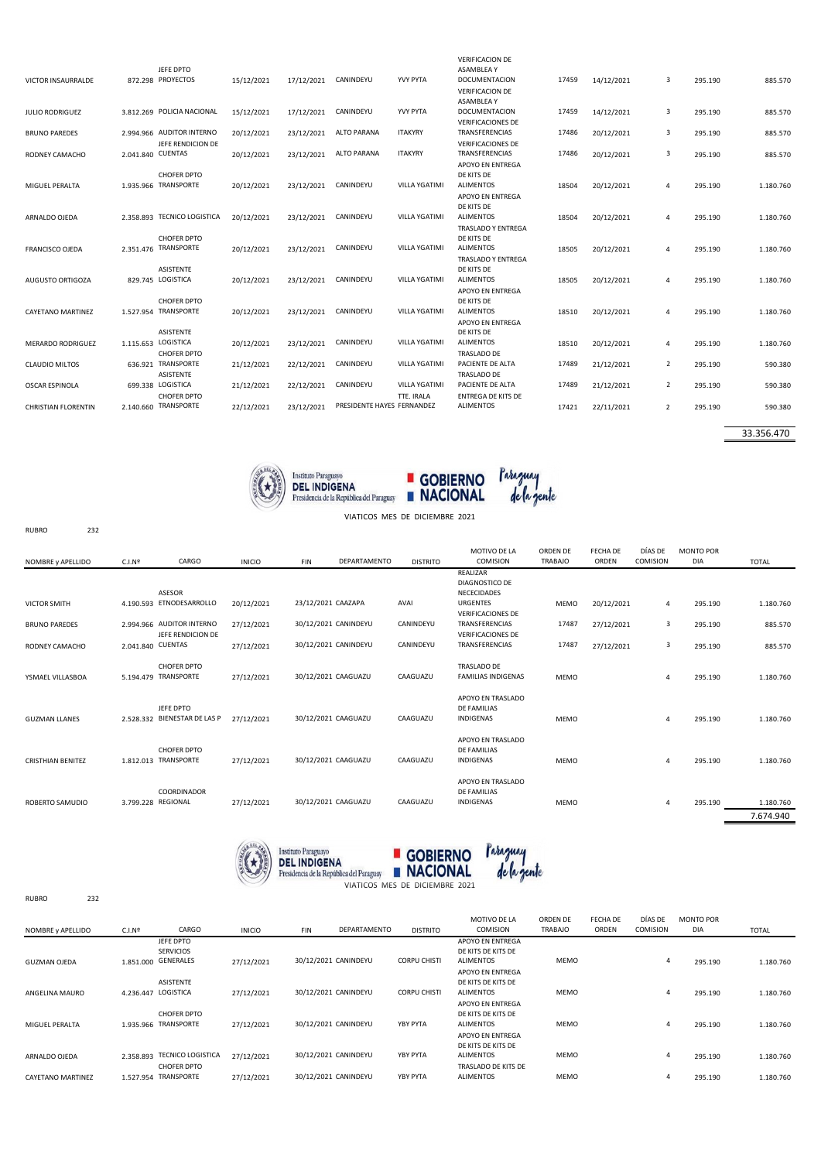| VICTOR INSAURRALDE         |                   | JEFE DPTO<br>872.298 PROYECTOS             | 15/12/2021 | 17/12/2021 | CANINDEYU                  | YVY PYTA                           | <b>VERIFICACION DE</b><br><b>ASAMBLEAY</b><br><b>DOCUMENTACION</b> | 17459 | 14/12/2021 | 3              | 295.190 | 885.570   |
|----------------------------|-------------------|--------------------------------------------|------------|------------|----------------------------|------------------------------------|--------------------------------------------------------------------|-------|------------|----------------|---------|-----------|
|                            |                   |                                            |            |            |                            |                                    | <b>VERIFICACION DE</b><br>ASAMBLEA Y                               |       |            |                |         |           |
| <b>JULIO RODRIGUEZ</b>     |                   | 3.812.269 POLICIA NACIONAL                 | 15/12/2021 | 17/12/2021 | CANINDEYU                  | YVY PYTA                           | DOCUMENTACION<br><b>VERIFICACIONES DE</b>                          | 17459 | 14/12/2021 | 3              | 295.190 | 885.570   |
| <b>BRUNO PAREDES</b>       |                   | 2.994.966 AUDITOR INTERNO                  | 20/12/2021 | 23/12/2021 | ALTO PARANA                | <b>ITAKYRY</b>                     | TRANSFERENCIAS                                                     | 17486 | 20/12/2021 | 3              | 295.190 | 885.570   |
| RODNEY CAMACHO             | 2.041.840 CUENTAS | JEFE RENDICION DE                          | 20/12/2021 | 23/12/2021 | <b>ALTO PARANA</b>         | <b>ITAKYRY</b>                     | <b>VERIFICACIONES DE</b><br>TRANSFERENCIAS                         | 17486 | 20/12/2021 | 3              | 295.190 | 885.570   |
|                            |                   |                                            |            |            |                            |                                    | APOYO EN ENTREGA                                                   |       |            |                |         |           |
| MIGUEL PERALTA             |                   | <b>CHOFER DPTO</b><br>1.935.966 TRANSPORTE | 20/12/2021 | 23/12/2021 | CANINDEYU                  | <b>VILLA YGATIMI</b>               | DE KITS DE<br><b>ALIMENTOS</b>                                     | 18504 | 20/12/2021 | 4              | 295.190 | 1.180.760 |
|                            |                   |                                            |            |            |                            |                                    | APOYO EN ENTREGA                                                   |       |            |                |         |           |
| ARNALDO OJEDA              |                   | 2.358.893 TECNICO LOGISTICA                | 20/12/2021 | 23/12/2021 | CANINDEYU                  | <b>VILLA YGATIMI</b>               | DE KITS DE<br><b>ALIMENTOS</b>                                     | 18504 | 20/12/2021 | Δ              | 295.190 | 1.180.760 |
|                            |                   |                                            |            |            |                            |                                    | TRASLADO Y ENTREGA<br>DE KITS DE                                   |       |            |                |         |           |
| <b>FRANCISCO OJEDA</b>     |                   | <b>CHOFER DPTO</b><br>2.351.476 TRANSPORTE | 20/12/2021 | 23/12/2021 | CANINDEYU                  | <b>VILLA YGATIMI</b>               | <b>ALIMENTOS</b>                                                   | 18505 | 20/12/2021 | 4              | 295.190 | 1.180.760 |
|                            |                   | <b>ASISTENTE</b>                           |            |            |                            |                                    | <b>TRASLADO Y ENTREGA</b><br>DE KITS DE                            |       |            |                |         |           |
| AUGUSTO ORTIGOZA           |                   | 829.745 LOGISTICA                          | 20/12/2021 | 23/12/2021 | CANINDEYU                  | VILLA YGATIMI                      | <b>ALIMENTOS</b>                                                   | 18505 | 20/12/2021 | Δ              | 295.190 | 1.180.760 |
|                            |                   | <b>CHOFER DPTO</b>                         |            |            |                            |                                    | APOYO EN ENTREGA<br>DE KITS DE                                     |       |            |                |         |           |
| <b>CAYETANO MARTINEZ</b>   |                   | 1.527.954 TRANSPORTE                       | 20/12/2021 | 23/12/2021 | CANINDEYU                  | <b>VILLA YGATIMI</b>               | <b>ALIMENTOS</b>                                                   | 18510 | 20/12/2021 | 4              | 295.190 | 1.180.760 |
|                            |                   | <b>ASISTENTE</b>                           |            |            |                            |                                    | APOYO EN ENTREGA<br>DE KITS DE                                     |       |            |                |         |           |
| MERARDO RODRIGUEZ          |                   | 1.115.653 LOGISTICA                        | 20/12/2021 | 23/12/2021 | CANINDEYU                  | <b>VILLA YGATIMI</b>               | <b>ALIMENTOS</b>                                                   | 18510 | 20/12/2021 | 4              | 295.190 | 1.180.760 |
| <b>CLAUDIO MILTOS</b>      |                   | <b>CHOFER DPTO</b><br>636.921 TRANSPORTE   | 21/12/2021 | 22/12/2021 | CANINDEYU                  | <b>VILLA YGATIMI</b>               | <b>TRASLADO DE</b><br>PACIENTE DE ALTA                             | 17489 | 21/12/2021 | $\overline{2}$ | 295.190 | 590.380   |
|                            |                   | ASISTENTE                                  |            |            |                            |                                    | <b>TRASLADO DE</b>                                                 |       |            |                |         |           |
| <b>OSCAR ESPINOLA</b>      |                   | 699.338 LOGISTICA<br><b>CHOFER DPTO</b>    | 21/12/2021 | 22/12/2021 | CANINDEYU                  | <b>VILLA YGATIMI</b><br>TTE, IRALA | PACIENTE DE ALTA<br><b>ENTREGA DE KITS DE</b>                      | 17489 | 21/12/2021 | 2              | 295.190 | 590.380   |
| <b>CHRISTIAN FLORENTIN</b> |                   | 2.140.660 TRANSPORTE                       | 22/12/2021 | 23/12/2021 | PRESIDENTE HAYES FERNANDEZ |                                    | <b>ALIMENTOS</b>                                                   | 17421 | 22/11/2021 | 2              | 295.190 | 590.380   |
|                            |                   |                                            |            |            |                            |                                    |                                                                    |       |            |                |         |           |

33.356.470





| $\sim$ $\sim$<br>VIATICOS MES DE DICIEMBRE 2021 |     |                    |                                                |               |                      |              |                 |                                                      |                            |                   |                     |                         |                        |
|-------------------------------------------------|-----|--------------------|------------------------------------------------|---------------|----------------------|--------------|-----------------|------------------------------------------------------|----------------------------|-------------------|---------------------|-------------------------|------------------------|
| <b>RUBRO</b>                                    | 232 |                    |                                                |               |                      |              |                 |                                                      |                            |                   |                     |                         |                        |
| NOMBRE y APELLIDO                               |     | C.I.N <sup>2</sup> | CARGO                                          | <b>INICIO</b> | <b>FIN</b>           | DEPARTAMENTO | <b>DISTRITO</b> | MOTIVO DE LA<br>COMISION                             | ORDEN DE<br><b>TRABAJO</b> | FECHA DE<br>ORDEN | DÍAS DE<br>COMISION | <b>MONTO POR</b><br>DIA | <b>TOTAL</b>           |
|                                                 |     |                    | ASESOR                                         |               |                      |              |                 | REALIZAR<br>DIAGNOSTICO DE<br>NECECIDADES            |                            |                   |                     |                         |                        |
| <b>VICTOR SMITH</b>                             |     |                    | 4.190.593 ETNODESARROLLO                       | 20/12/2021    | 23/12/2021 CAAZAPA   |              | AVAI            | <b>URGENTES</b><br><b>VERIFICACIONES DE</b>          | <b>MEMO</b>                | 20/12/2021        | 4                   | 295.190                 | 1.180.760              |
| <b>BRUNO PAREDES</b>                            |     |                    | 2.994.966 AUDITOR INTERNO<br>JEFE RENDICION DE | 27/12/2021    | 30/12/2021 CANINDEYU |              | CANINDEYU       | TRANSFERENCIAS<br><b>VERIFICACIONES DE</b>           | 17487                      | 27/12/2021        | 3                   | 295.190                 | 885.570                |
| RODNEY CAMACHO                                  |     | 2.041.840 CUENTAS  |                                                | 27/12/2021    | 30/12/2021 CANINDEYU |              | CANINDEYU       | TRANSFERENCIAS                                       | 17487                      | 27/12/2021        | 3                   | 295.190                 | 885.570                |
| YSMAEL VILLASBOA                                |     |                    | CHOFER DPTO<br>5.194.479 TRANSPORTE            | 27/12/2021    | 30/12/2021 CAAGUAZU  |              | CAAGUAZU        | TRASLADO DE<br><b>FAMILIAS INDIGENAS</b>             | <b>MEMO</b>                |                   | 4                   | 295.190                 | 1.180.760              |
| <b>GUZMAN LLANES</b>                            |     |                    | JEFE DPTO<br>2.528.332 BIENESTAR DE LAS P      | 27/12/2021    | 30/12/2021 CAAGUAZU  |              | CAAGUAZU        | APOYO EN TRASLADO<br><b>DE FAMILIAS</b><br>INDIGENAS | <b>MEMO</b>                |                   | 4                   | 295.190                 | 1.180.760              |
| <b>CRISTHIAN BENITEZ</b>                        |     |                    | <b>CHOFER DPTO</b><br>1.812.013 TRANSPORTE     | 27/12/2021    | 30/12/2021 CAAGUAZU  |              | CAAGUAZU        | APOYO EN TRASLADO<br><b>DE FAMILIAS</b><br>INDIGENAS | <b>MEMO</b>                |                   | 4                   | 295.190                 | 1.180.760              |
| ROBERTO SAMUDIO                                 |     | 3.799.228 REGIONAL | COORDINADOR                                    | 27/12/2021    | 30/12/2021 CAAGUAZU  |              | CAAGUAZU        | APOYO EN TRASLADO<br>DE FAMILIAS<br><b>INDIGENAS</b> | <b>MEMO</b>                |                   | 4                   | 295.190                 | 1.180.760<br>7.674.940 |
|                                                 |     |                    |                                                |               |                      |              |                 |                                                      |                            |                   |                     |                         |                        |





RUBRO 232

| NOMBRE y APELLIDO        | C.I.N <sup>2</sup> | CARGO                                                | <b>INICIO</b> | <b>FIN</b>           | DEPARTAMENTO | <b>DISTRITO</b>     | MOTIVO DE LA<br><b>COMISION</b>                            | ORDEN DE<br><b>TRABAJO</b> | FECHA DE<br>ORDEN | DÍAS DE<br>COMISION | <b>MONTO POR</b><br><b>DIA</b> | <b>TOTAL</b> |
|--------------------------|--------------------|------------------------------------------------------|---------------|----------------------|--------------|---------------------|------------------------------------------------------------|----------------------------|-------------------|---------------------|--------------------------------|--------------|
| <b>GUZMAN OJEDA</b>      |                    | JEFE DPTO<br><b>SERVICIOS</b><br>1.851.000 GENERALES | 27/12/2021    | 30/12/2021 CANINDEYU |              | <b>CORPU CHISTI</b> | APOYO EN ENTREGA<br>DE KITS DE KITS DE<br><b>ALIMENTOS</b> | <b>MEMO</b>                |                   | $\overline{4}$      | 295.190                        | 1.180.760    |
| ANGELINA MAURO           |                    | <b>ASISTENTE</b><br>4.236.447 LOGISTICA              | 27/12/2021    | 30/12/2021 CANINDEYU |              | <b>CORPU CHISTI</b> | APOYO EN ENTREGA<br>DE KITS DE KITS DE<br><b>ALIMENTOS</b> | <b>MEMO</b>                |                   | $\overline{4}$      | 295.190                        | 1.180.760    |
| MIGUEL PERALTA           | 1.935.966          | CHOFER DPTO<br><b>TRANSPORTE</b>                     | 27/12/2021    | 30/12/2021 CANINDEYU |              | YBY PYTA            | APOYO EN ENTREGA<br>DE KITS DE KITS DE<br><b>ALIMENTOS</b> | <b>MEMO</b>                |                   | $\overline{4}$      | 295.190                        | 1.180.760    |
| ARNALDO OJEDA            | 2.358.893          | <b>TECNICO LOGISTICA</b>                             | 27/12/2021    | 30/12/2021 CANINDEYU |              | YBY PYTA            | APOYO EN ENTREGA<br>DE KITS DE KITS DE<br><b>ALIMENTOS</b> | <b>MEMO</b>                |                   | 4                   | 295.190                        | 1.180.760    |
| <b>CAYETANO MARTINEZ</b> | 1.527.954          | <b>CHOFER DPTO</b><br><b>TRANSPORTE</b>              | 27/12/2021    | 30/12/2021 CANINDEYU |              | YBY PYTA            | TRASLADO DE KITS DE<br><b>ALIMENTOS</b>                    | <b>MEMO</b>                |                   | 4                   | 295.190                        | 1.180.760    |